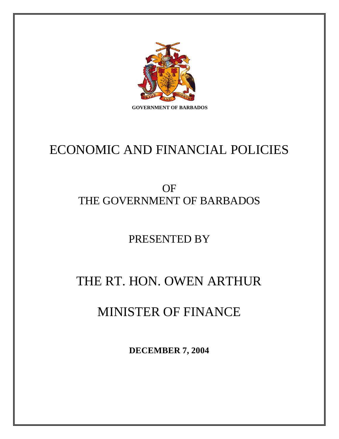

ECONOMIC AND FINANCIAL POLICIES

## OF THE GOVERNMENT OF BARBADOS

PRESENTED BY

# THE RT. HON. OWEN ARTHUR

## MINISTER OF FINANCE

**DECEMBER 7, 2004**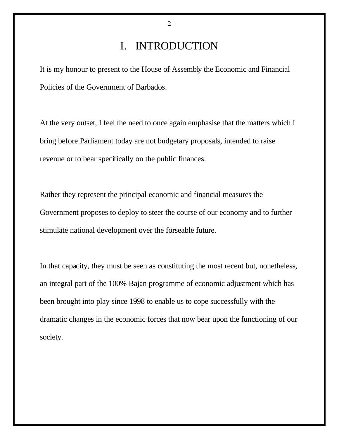## I. INTRODUCTION

It is my honour to present to the House of Assembly the Economic and Financial Policies of the Government of Barbados.

At the very outset, I feel the need to once again emphasise that the matters which I bring before Parliament today are not budgetary proposals, intended to raise revenue or to bear specifically on the public finances.

Rather they represent the principal economic and financial measures the Government proposes to deploy to steer the course of our economy and to further stimulate national development over the forseable future.

In that capacity, they must be seen as constituting the most recent but, nonetheless, an integral part of the 100% Bajan programme of economic adjustment which has been brought into play since 1998 to enable us to cope successfully with the dramatic changes in the economic forces that now bear upon the functioning of our society.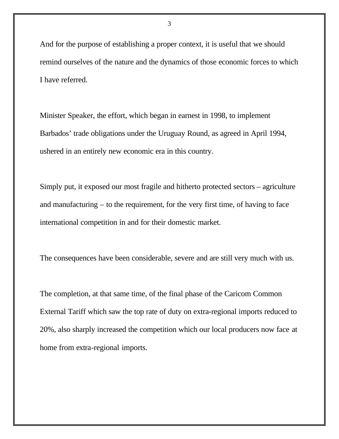And for the purpose of establishing a proper context, it is useful that we should remind ourselves of the nature and the dynamics of those economic forces to which I have referred.

Minister Speaker, the effort, which began in earnest in 1998, to implement Barbados' trade obligations under the Uruguay Round, as agreed in April 1994, ushered in an entirely new economic era in this country.

Simply put, it exposed our most fragile and hitherto protected sectors – agriculture and manufacturing – to the requirement, for the very first time, of having to face international competition in and for their domestic market.

The consequences have been considerable, severe and are still very much with us.

The completion, at that same time, of the final phase of the Caricom Common External Tariff which saw the top rate of duty on extra-regional imports reduced to 20%, also sharply increased the competition which our local producers now face at home from extra-regional imports.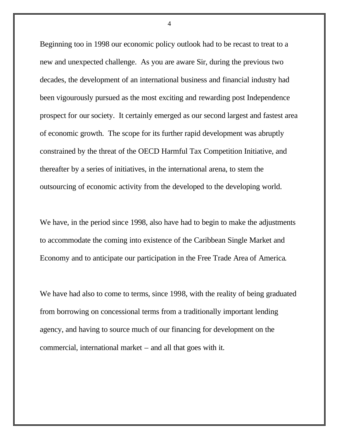Beginning too in 1998 our economic policy outlook had to be recast to treat to a new and unexpected challenge. As you are aware Sir, during the previous two decades, the development of an international business and financial industry had been vigourously pursued as the most exciting and rewarding post Independence prospect for our society. It certainly emerged as our second largest and fastest area of economic growth. The scope for its further rapid development was abruptly constrained by the threat of the OECD Harmful Tax Competition Initiative, and thereafter by a series of initiatives, in the international arena, to stem the outsourcing of economic activity from the developed to the developing world.

We have, in the period since 1998, also have had to begin to make the adjustments to accommodate the coming into existence of the Caribbean Single Market and Economy and to anticipate our participation in the Free Trade Area of America.

We have had also to come to terms, since 1998, with the reality of being graduated from borrowing on concessional terms from a traditionally important lending agency, and having to source much of our financing for development on the commercial, international market – and all that goes with it.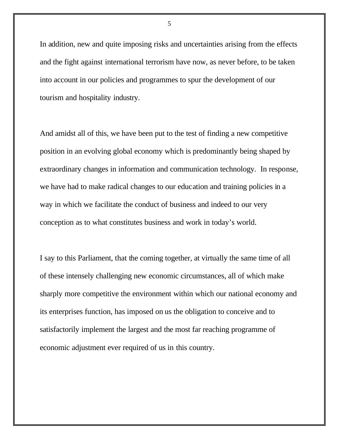In addition, new and quite imposing risks and uncertainties arising from the effects and the fight against international terrorism have now, as never before, to be taken into account in our policies and programmes to spur the development of our tourism and hospitality industry.

And amidst all of this, we have been put to the test of finding a new competitive position in an evolving global economy which is predominantly being shaped by extraordinary changes in information and communication technology. In response, we have had to make radical changes to our education and training policies in a way in which we facilitate the conduct of business and indeed to our very conception as to what constitutes business and work in today's world.

I say to this Parliament, that the coming together, at virtually the same time of all of these intensely challenging new economic circumstances, all of which make sharply more competitive the environment within which our national economy and its enterprises function, has imposed on us the obligation to conceive and to satisfactorily implement the largest and the most far reaching programme of economic adjustment ever required of us in this country.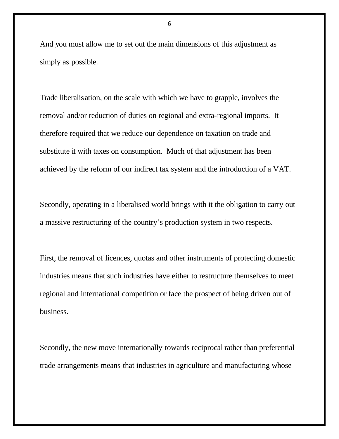And you must allow me to set out the main dimensions of this adjustment as simply as possible.

Trade liberalisation, on the scale with which we have to grapple, involves the removal and/or reduction of duties on regional and extra-regional imports. It therefore required that we reduce our dependence on taxation on trade and substitute it with taxes on consumption. Much of that adjustment has been achieved by the reform of our indirect tax system and the introduction of a VAT.

Secondly, operating in a liberalised world brings with it the obligation to carry out a massive restructuring of the country's production system in two respects.

First, the removal of licences, quotas and other instruments of protecting domestic industries means that such industries have either to restructure themselves to meet regional and international competition or face the prospect of being driven out of business.

Secondly, the new move internationally towards reciprocal rather than preferential trade arrangements means that industries in agriculture and manufacturing whose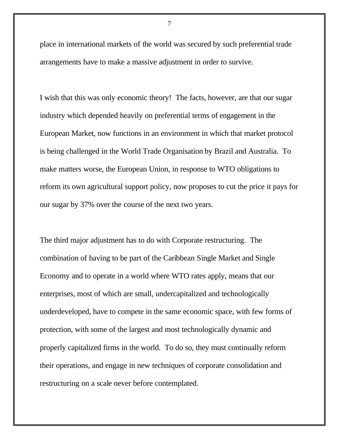place in international markets of the world was secured by such preferential trade arrangements have to make a massive adjustment in order to survive.

I wish that this was only economic theory! The facts, however, are that our sugar industry which depended heavily on preferential terms of engagement in the European Market, now functions in an environment in which that market protocol is being challenged in the World Trade Organisation by Brazil and Australia. To make matters worse, the European Union, in response to WTO obligations to reform its own agricultural support policy, now proposes to cut the price it pays for our sugar by 37% over the course of the next two years.

The third major adjustment has to do with Corporate restructuring. The combination of having to be part of the Caribbean Single Market and Single Economy and to operate in a world where WTO rates apply, means that our enterprises, most of which are small, undercapitalized and technologically underdeveloped, have to compete in the same economic space, with few forms of protection, with some of the largest and most technologically dynamic and properly capitalized firms in the world. To do so, they must continually reform their operations, and engage in new techniques of corporate consolidation and restructuring on a scale never before contemplated.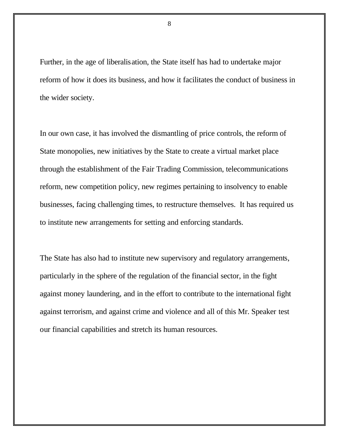Further, in the age of liberalisation, the State itself has had to undertake major reform of how it does its business, and how it facilitates the conduct of business in the wider society.

In our own case, it has involved the dismantling of price controls, the reform of State monopolies, new initiatives by the State to create a virtual market place through the establishment of the Fair Trading Commission, telecommunications reform, new competition policy, new regimes pertaining to insolvency to enable businesses, facing challenging times, to restructure themselves. It has required us to institute new arrangements for setting and enforcing standards.

The State has also had to institute new supervisory and regulatory arrangements, particularly in the sphere of the regulation of the financial sector, in the fight against money laundering, and in the effort to contribute to the international fight against terrorism, and against crime and violence and all of this Mr. Speaker test our financial capabilities and stretch its human resources.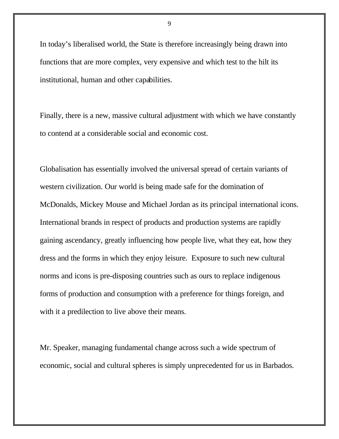In today's liberalised world, the State is therefore increasingly being drawn into functions that are more complex, very expensive and which test to the hilt its institutional, human and other capabilities.

Finally, there is a new, massive cultural adjustment with which we have constantly to contend at a considerable social and economic cost.

Globalisation has essentially involved the universal spread of certain variants of western civilization. Our world is being made safe for the domination of McDonalds, Mickey Mouse and Michael Jordan as its principal international icons. International brands in respect of products and production systems are rapidly gaining ascendancy, greatly influencing how people live, what they eat, how they dress and the forms in which they enjoy leisure. Exposure to such new cultural norms and icons is pre-disposing countries such as ours to replace indigenous forms of production and consumption with a preference for things foreign, and with it a predilection to live above their means.

Mr. Speaker, managing fundamental change across such a wide spectrum of economic, social and cultural spheres is simply unprecedented for us in Barbados.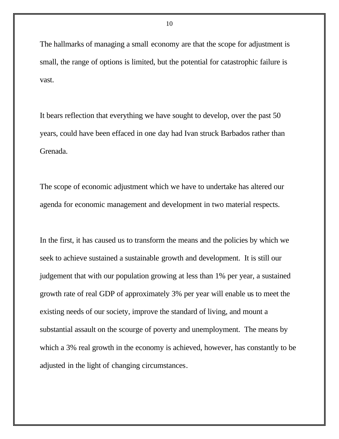The hallmarks of managing a small economy are that the scope for adjustment is small, the range of options is limited, but the potential for catastrophic failure is vast.

It bears reflection that everything we have sought to develop, over the past 50 years, could have been effaced in one day had Ivan struck Barbados rather than Grenada.

The scope of economic adjustment which we have to undertake has altered our agenda for economic management and development in two material respects.

In the first, it has caused us to transform the means and the policies by which we seek to achieve sustained a sustainable growth and development. It is still our judgement that with our population growing at less than 1% per year, a sustained growth rate of real GDP of approximately 3% per year will enable us to meet the existing needs of our society, improve the standard of living, and mount a substantial assault on the scourge of poverty and unemployment. The means by which a 3% real growth in the economy is achieved, however, has constantly to be adjusted in the light of changing circumstances.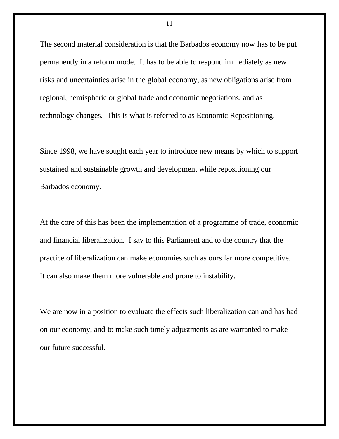The second material consideration is that the Barbados economy now has to be put permanently in a reform mode. It has to be able to respond immediately as new risks and uncertainties arise in the global economy, as new obligations arise from regional, hemispheric or global trade and economic negotiations, and as technology changes. This is what is referred to as Economic Repositioning.

Since 1998, we have sought each year to introduce new means by which to support sustained and sustainable growth and development while repositioning our Barbados economy.

At the core of this has been the implementation of a programme of trade, economic and financial liberalization. I say to this Parliament and to the country that the practice of liberalization can make economies such as ours far more competitive. It can also make them more vulnerable and prone to instability.

We are now in a position to evaluate the effects such liberalization can and has had on our economy, and to make such timely adjustments as are warranted to make our future successful.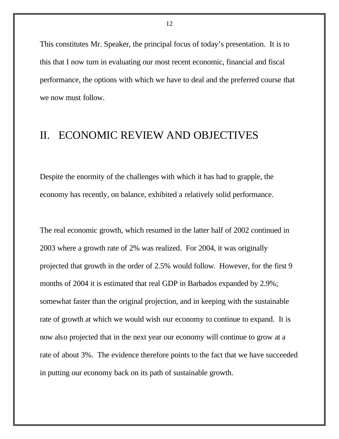This constitutes Mr. Speaker, the principal focus of today's presentation. It is to this that I now turn in evaluating our most recent economic, financial and fiscal performance, the options with which we have to deal and the preferred course that we now must follow.

### II. ECONOMIC REVIEW AND OBJECTIVES

Despite the enormity of the challenges with which it has had to grapple, the economy has recently, on balance, exhibited a relatively solid performance.

The real economic growth, which resumed in the latter half of 2002 continued in 2003 where a growth rate of 2% was realized. For 2004, it was originally projected that growth in the order of 2.5% would follow. However, for the first 9 months of 2004 it is estimated that real GDP in Barbados expanded by 2.9%; somewhat faster than the original projection, and in keeping with the sustainable rate of growth at which we would wish our economy to continue to expand. It is now also projected that in the next year our economy will continue to grow at a rate of about 3%. The evidence therefore points to the fact that we have succeeded in putting our economy back on its path of sustainable growth.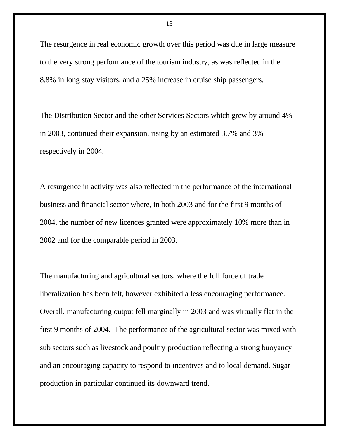The resurgence in real economic growth over this period was due in large measure to the very strong performance of the tourism industry, as was reflected in the 8.8% in long stay visitors, and a 25% increase in cruise ship passengers.

The Distribution Sector and the other Services Sectors which grew by around 4% in 2003, continued their expansion, rising by an estimated 3.7% and 3% respectively in 2004.

A resurgence in activity was also reflected in the performance of the international business and financial sector where, in both 2003 and for the first 9 months of 2004, the number of new licences granted were approximately 10% more than in 2002 and for the comparable period in 2003.

The manufacturing and agricultural sectors, where the full force of trade liberalization has been felt, however exhibited a less encouraging performance. Overall, manufacturing output fell marginally in 2003 and was virtually flat in the first 9 months of 2004. The performance of the agricultural sector was mixed with sub sectors such as livestock and poultry production reflecting a strong buoyancy and an encouraging capacity to respond to incentives and to local demand. Sugar production in particular continued its downward trend.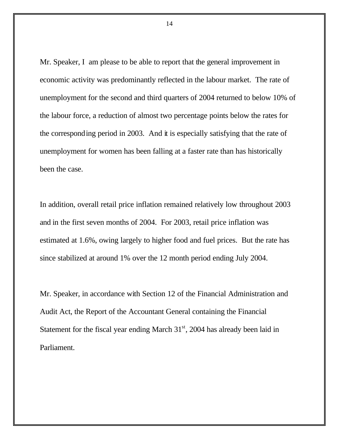Mr. Speaker, I am please to be able to report that the general improvement in economic activity was predominantly reflected in the labour market. The rate of unemployment for the second and third quarters of 2004 returned to below 10% of the labour force, a reduction of almost two percentage points below the rates for the corresponding period in 2003. And it is especially satisfying that the rate of unemployment for women has been falling at a faster rate than has historically been the case.

In addition, overall retail price inflation remained relatively low throughout 2003 and in the first seven months of 2004. For 2003, retail price inflation was estimated at 1.6%, owing largely to higher food and fuel prices. But the rate has since stabilized at around 1% over the 12 month period ending July 2004.

Mr. Speaker, in accordance with Section 12 of the Financial Administration and Audit Act, the Report of the Accountant General containing the Financial Statement for the fiscal year ending March  $31<sup>st</sup>$ , 2004 has already been laid in Parliament.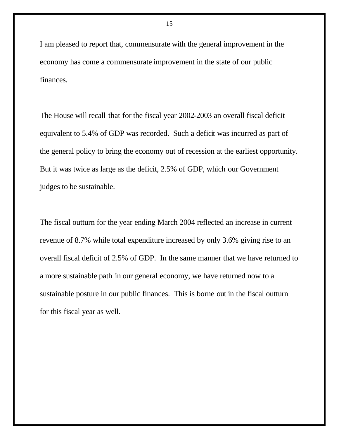I am pleased to report that, commensurate with the general improvement in the economy has come a commensurate improvement in the state of our public finances.

The House will recall that for the fiscal year 2002-2003 an overall fiscal deficit equivalent to 5.4% of GDP was recorded. Such a deficit was incurred as part of the general policy to bring the economy out of recession at the earliest opportunity. But it was twice as large as the deficit, 2.5% of GDP, which our Government judges to be sustainable.

The fiscal outturn for the year ending March 2004 reflected an increase in current revenue of 8.7% while total expenditure increased by only 3.6% giving rise to an overall fiscal deficit of 2.5% of GDP. In the same manner that we have returned to a more sustainable path in our general economy, we have returned now to a sustainable posture in our public finances. This is borne out in the fiscal outturn for this fiscal year as well.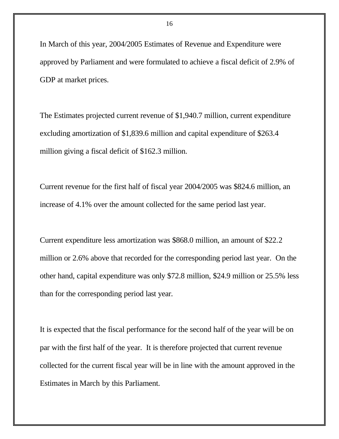In March of this year, 2004/2005 Estimates of Revenue and Expenditure were approved by Parliament and were formulated to achieve a fiscal deficit of 2.9% of GDP at market prices.

The Estimates projected current revenue of \$1,940.7 million, current expenditure excluding amortization of \$1,839.6 million and capital expenditure of \$263.4 million giving a fiscal deficit of \$162.3 million.

Current revenue for the first half of fiscal year 2004/2005 was \$824.6 million, an increase of 4.1% over the amount collected for the same period last year.

Current expenditure less amortization was \$868.0 million, an amount of \$22.2 million or 2.6% above that recorded for the corresponding period last year. On the other hand, capital expenditure was only \$72.8 million, \$24.9 million or 25.5% less than for the corresponding period last year.

It is expected that the fiscal performance for the second half of the year will be on par with the first half of the year. It is therefore projected that current revenue collected for the current fiscal year will be in line with the amount approved in the Estimates in March by this Parliament.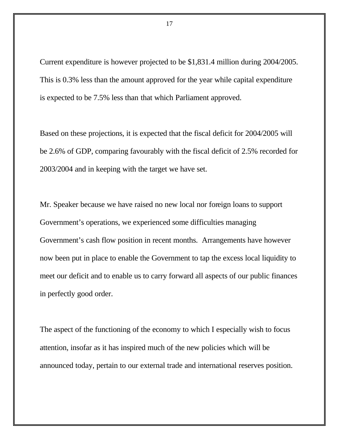Current expenditure is however projected to be \$1,831.4 million during 2004/2005. This is 0.3% less than the amount approved for the year while capital expenditure is expected to be 7.5% less than that which Parliament approved.

Based on these projections, it is expected that the fiscal deficit for 2004/2005 will be 2.6% of GDP, comparing favourably with the fiscal deficit of 2.5% recorded for 2003/2004 and in keeping with the target we have set.

Mr. Speaker because we have raised no new local nor foreign loans to support Government's operations, we experienced some difficulties managing Government's cash flow position in recent months. Arrangements have however now been put in place to enable the Government to tap the excess local liquidity to meet our deficit and to enable us to carry forward all aspects of our public finances in perfectly good order.

The aspect of the functioning of the economy to which I especially wish to focus attention, insofar as it has inspired much of the new policies which will be announced today, pertain to our external trade and international reserves position.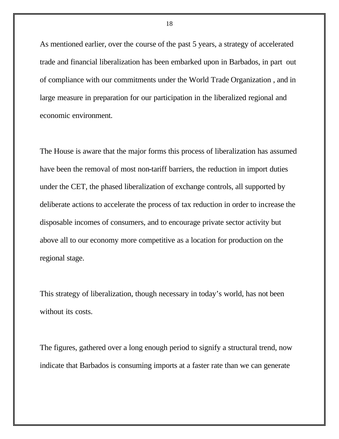As mentioned earlier, over the course of the past 5 years, a strategy of accelerated trade and financial liberalization has been embarked upon in Barbados, in part out of compliance with our commitments under the World Trade Organization , and in large measure in preparation for our participation in the liberalized regional and economic environment.

The House is aware that the major forms this process of liberalization has assumed have been the removal of most non-tariff barriers, the reduction in import duties under the CET, the phased liberalization of exchange controls, all supported by deliberate actions to accelerate the process of tax reduction in order to increase the disposable incomes of consumers, and to encourage private sector activity but above all to our economy more competitive as a location for production on the regional stage.

This strategy of liberalization, though necessary in today's world, has not been without its costs.

The figures, gathered over a long enough period to signify a structural trend, now indicate that Barbados is consuming imports at a faster rate than we can generate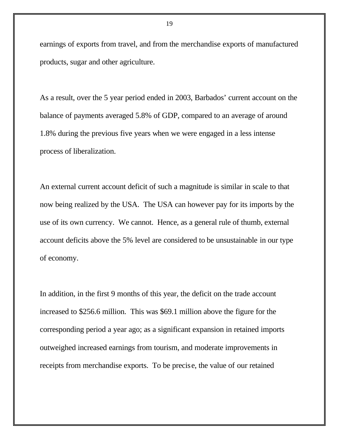earnings of exports from travel, and from the merchandise exports of manufactured products, sugar and other agriculture.

As a result, over the 5 year period ended in 2003, Barbados' current account on the balance of payments averaged 5.8% of GDP, compared to an average of around 1.8% during the previous five years when we were engaged in a less intense process of liberalization.

An external current account deficit of such a magnitude is similar in scale to that now being realized by the USA. The USA can however pay for its imports by the use of its own currency. We cannot. Hence, as a general rule of thumb, external account deficits above the 5% level are considered to be unsustainable in our type of economy.

In addition, in the first 9 months of this year, the deficit on the trade account increased to \$256.6 million. This was \$69.1 million above the figure for the corresponding period a year ago; as a significant expansion in retained imports outweighed increased earnings from tourism, and moderate improvements in receipts from merchandise exports. To be precise, the value of our retained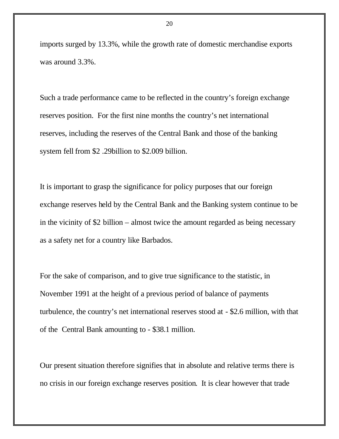imports surged by 13.3%, while the growth rate of domestic merchandise exports was around 3.3%.

Such a trade performance came to be reflected in the country's foreign exchange reserves position. For the first nine months the country's net international reserves, including the reserves of the Central Bank and those of the banking system fell from \$2 .29billion to \$2.009 billion.

It is important to grasp the significance for policy purposes that our foreign exchange reserves held by the Central Bank and the Banking system continue to be in the vicinity of \$2 billion – almost twice the amount regarded as being necessary as a safety net for a country like Barbados.

For the sake of comparison, and to give true significance to the statistic, in November 1991 at the height of a previous period of balance of payments turbulence, the country's net international reserves stood at - \$2.6 million, with that of the Central Bank amounting to - \$38.1 million.

Our present situation therefore signifies that in absolute and relative terms there is no crisis in our foreign exchange reserves position. It is clear however that trade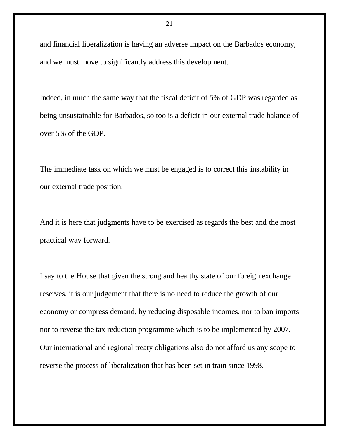and financial liberalization is having an adverse impact on the Barbados economy, and we must move to significantly address this development.

Indeed, in much the same way that the fiscal deficit of 5% of GDP was regarded as being unsustainable for Barbados, so too is a deficit in our external trade balance of over 5% of the GDP.

The immediate task on which we must be engaged is to correct this instability in our external trade position.

And it is here that judgments have to be exercised as regards the best and the most practical way forward.

I say to the House that given the strong and healthy state of our foreign exchange reserves, it is our judgement that there is no need to reduce the growth of our economy or compress demand, by reducing disposable incomes, nor to ban imports nor to reverse the tax reduction programme which is to be implemented by 2007. Our international and regional treaty obligations also do not afford us any scope to reverse the process of liberalization that has been set in train since 1998.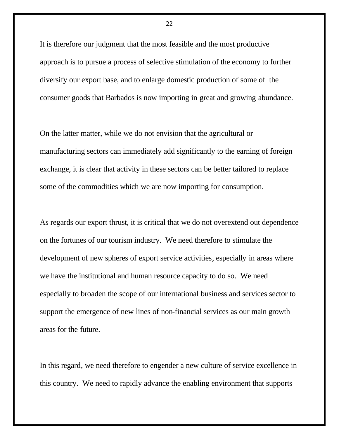It is therefore our judgment that the most feasible and the most productive approach is to pursue a process of selective stimulation of the economy to further diversify our export base, and to enlarge domestic production of some of the consumer goods that Barbados is now importing in great and growing abundance.

On the latter matter, while we do not envision that the agricultural or manufacturing sectors can immediately add significantly to the earning of foreign exchange, it is clear that activity in these sectors can be better tailored to replace some of the commodities which we are now importing for consumption.

As regards our export thrust, it is critical that we do not overextend out dependence on the fortunes of our tourism industry. We need therefore to stimulate the development of new spheres of export service activities, especially in areas where we have the institutional and human resource capacity to do so. We need especially to broaden the scope of our international business and services sector to support the emergence of new lines of non-financial services as our main growth areas for the future.

In this regard, we need therefore to engender a new culture of service excellence in this country. We need to rapidly advance the enabling environment that supports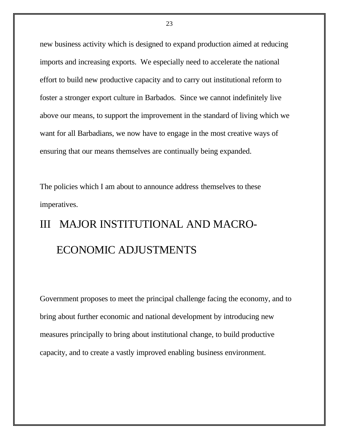new business activity which is designed to expand production aimed at reducing imports and increasing exports. We especially need to accelerate the national effort to build new productive capacity and to carry out institutional reform to foster a stronger export culture in Barbados. Since we cannot indefinitely live above our means, to support the improvement in the standard of living which we want for all Barbadians, we now have to engage in the most creative ways of ensuring that our means themselves are continually being expanded.

The policies which I am about to announce address themselves to these imperatives.

# III MAJOR INSTITUTIONAL AND MACRO- ECONOMIC ADJUSTMENTS

Government proposes to meet the principal challenge facing the economy, and to bring about further economic and national development by introducing new measures principally to bring about institutional change, to build productive capacity, and to create a vastly improved enabling business environment.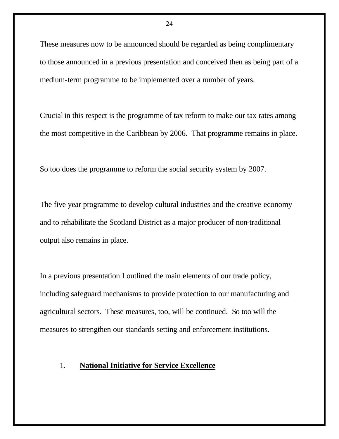These measures now to be announced should be regarded as being complimentary to those announced in a previous presentation and conceived then as being part of a medium-term programme to be implemented over a number of years.

Crucial in this respect is the programme of tax reform to make our tax rates among the most competitive in the Caribbean by 2006. That programme remains in place.

So too does the programme to reform the social security system by 2007.

The five year programme to develop cultural industries and the creative economy and to rehabilitate the Scotland District as a major producer of non-traditional output also remains in place.

In a previous presentation I outlined the main elements of our trade policy, including safeguard mechanisms to provide protection to our manufacturing and agricultural sectors. These measures, too, will be continued. So too will the measures to strengthen our standards setting and enforcement institutions.

#### 1. **National Initiative for Service Excellence**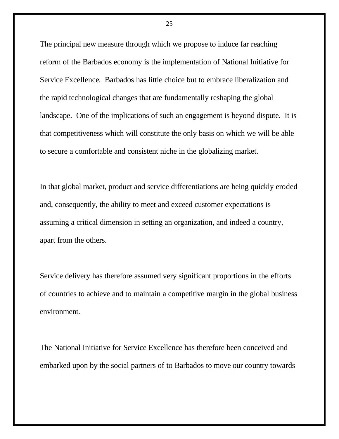The principal new measure through which we propose to induce far reaching reform of the Barbados economy is the implementation of National Initiative for Service Excellence. Barbados has little choice but to embrace liberalization and the rapid technological changes that are fundamentally reshaping the global landscape. One of the implications of such an engagement is beyond dispute. It is that competitiveness which will constitute the only basis on which we will be able to secure a comfortable and consistent niche in the globalizing market.

In that global market, product and service differentiations are being quickly eroded and, consequently, the ability to meet and exceed customer expectations is assuming a critical dimension in setting an organization, and indeed a country, apart from the others.

Service delivery has therefore assumed very significant proportions in the efforts of countries to achieve and to maintain a competitive margin in the global business environment.

The National Initiative for Service Excellence has therefore been conceived and embarked upon by the social partners of to Barbados to move our country towards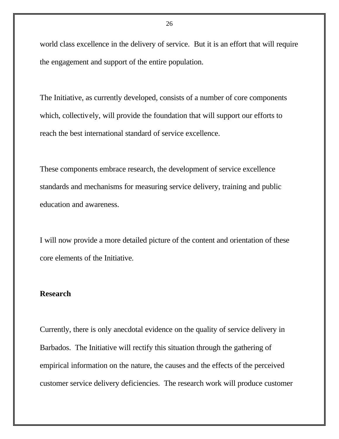world class excellence in the delivery of service. But it is an effort that will require the engagement and support of the entire population.

The Initiative, as currently developed, consists of a number of core components which, collectively, will provide the foundation that will support our efforts to reach the best international standard of service excellence.

These components embrace research, the development of service excellence standards and mechanisms for measuring service delivery, training and public education and awareness.

I will now provide a more detailed picture of the content and orientation of these core elements of the Initiative.

#### **Research**

Currently, there is only anecdotal evidence on the quality of service delivery in Barbados. The Initiative will rectify this situation through the gathering of empirical information on the nature, the causes and the effects of the perceived customer service delivery deficiencies. The research work will produce customer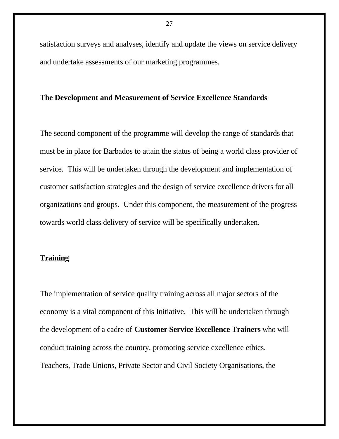satisfaction surveys and analyses, identify and update the views on service delivery and undertake assessments of our marketing programmes.

#### **The Development and Measurement of Service Excellence Standards**

The second component of the programme will develop the range of standards that must be in place for Barbados to attain the status of being a world class provider of service. This will be undertaken through the development and implementation of customer satisfaction strategies and the design of service excellence drivers for all organizations and groups. Under this component, the measurement of the progress towards world class delivery of service will be specifically undertaken.

#### **Training**

The implementation of service quality training across all major sectors of the economy is a vital component of this Initiative. This will be undertaken through the development of a cadre of **Customer Service Excellence Trainers** who will conduct training across the country, promoting service excellence ethics. Teachers, Trade Unions, Private Sector and Civil Society Organisations, the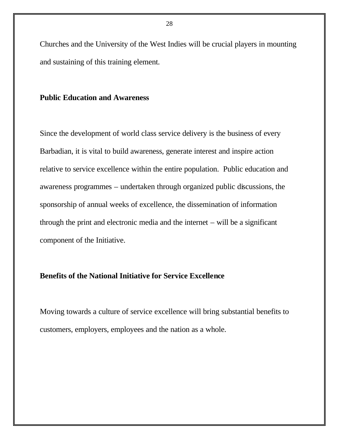Churches and the University of the West Indies will be crucial players in mounting and sustaining of this training element.

#### **Public Education and Awareness**

Since the development of world class service delivery is the business of every Barbadian, it is vital to build awareness, generate interest and inspire action relative to service excellence within the entire population. Public education and awareness programmes – undertaken through organized public discussions, the sponsorship of annual weeks of excellence, the dissemination of information through the print and electronic media and the internet – will be a significant component of the Initiative.

#### **Benefits of the National Initiative for Service Excellence**

Moving towards a culture of service excellence will bring substantial benefits to customers, employers, employees and the nation as a whole.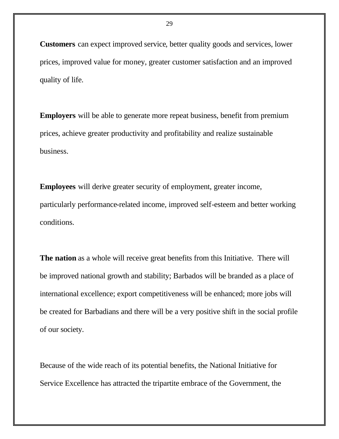**Customers** can expect improved service, better quality goods and services, lower prices, improved value for money, greater customer satisfaction and an improved quality of life.

**Employers** will be able to generate more repeat business, benefit from premium prices, achieve greater productivity and profitability and realize sustainable business.

**Employees** will derive greater security of employment, greater income, particularly performance-related income, improved self-esteem and better working conditions.

**The nation** as a whole will receive great benefits from this Initiative. There will be improved national growth and stability; Barbados will be branded as a place of international excellence; export competitiveness will be enhanced; more jobs will be created for Barbadians and there will be a very positive shift in the social profile of our society.

Because of the wide reach of its potential benefits, the National Initiative for Service Excellence has attracted the tripartite embrace of the Government, the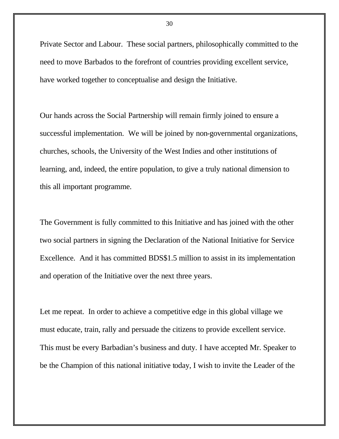Private Sector and Labour. These social partners, philosophically committed to the need to move Barbados to the forefront of countries providing excellent service, have worked together to conceptualise and design the Initiative.

Our hands across the Social Partnership will remain firmly joined to ensure a successful implementation. We will be joined by non-governmental organizations, churches, schools, the University of the West Indies and other institutions of learning, and, indeed, the entire population, to give a truly national dimension to this all important programme.

The Government is fully committed to this Initiative and has joined with the other two social partners in signing the Declaration of the National Initiative for Service Excellence. And it has committed BDS\$1.5 million to assist in its implementation and operation of the Initiative over the next three years.

Let me repeat. In order to achieve a competitive edge in this global village we must educate, train, rally and persuade the citizens to provide excellent service. This must be every Barbadian's business and duty. I have accepted Mr. Speaker to be the Champion of this national initiative today, I wish to invite the Leader of the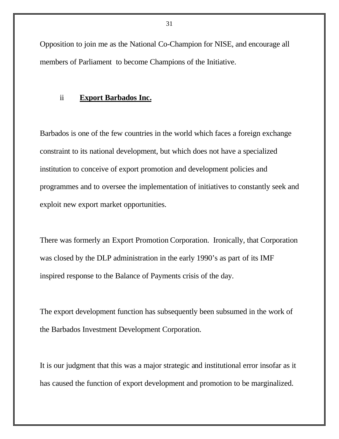Opposition to join me as the National Co-Champion for NISE, and encourage all members of Parliament to become Champions of the Initiative.

#### ii **Export Barbados Inc.**

Barbados is one of the few countries in the world which faces a foreign exchange constraint to its national development, but which does not have a specialized institution to conceive of export promotion and development policies and programmes and to oversee the implementation of initiatives to constantly seek and exploit new export market opportunities.

There was formerly an Export Promotion Corporation. Ironically, that Corporation was closed by the DLP administration in the early 1990's as part of its IMF inspired response to the Balance of Payments crisis of the day.

The export development function has subsequently been subsumed in the work of the Barbados Investment Development Corporation.

It is our judgment that this was a major strategic and institutional error insofar as it has caused the function of export development and promotion to be marginalized.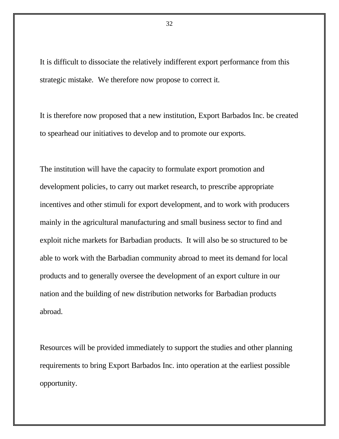It is difficult to dissociate the relatively indifferent export performance from this strategic mistake. We therefore now propose to correct it.

It is therefore now proposed that a new institution, Export Barbados Inc. be created to spearhead our initiatives to develop and to promote our exports.

The institution will have the capacity to formulate export promotion and development policies, to carry out market research, to prescribe appropriate incentives and other stimuli for export development, and to work with producers mainly in the agricultural manufacturing and small business sector to find and exploit niche markets for Barbadian products. It will also be so structured to be able to work with the Barbadian community abroad to meet its demand for local products and to generally oversee the development of an export culture in our nation and the building of new distribution networks for Barbadian products abroad.

Resources will be provided immediately to support the studies and other planning requirements to bring Export Barbados Inc. into operation at the earliest possible opportunity.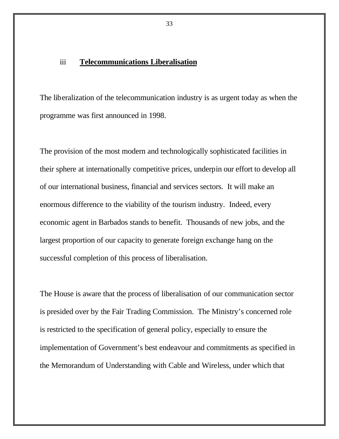#### iii **Telecommunications Liberalisation**

The liberalization of the telecommunication industry is as urgent today as when the programme was first announced in 1998.

The provision of the most modern and technologically sophisticated facilities in their sphere at internationally competitive prices, underpin our effort to develop all of our international business, financial and services sectors. It will make an enormous difference to the viability of the tourism industry. Indeed, every economic agent in Barbados stands to benefit. Thousands of new jobs, and the largest proportion of our capacity to generate foreign exchange hang on the successful completion of this process of liberalisation.

The House is aware that the process of liberalisation of our communication sector is presided over by the Fair Trading Commission. The Ministry's concerned role is restricted to the specification of general policy, especially to ensure the implementation of Government's best endeavour and commitments as specified in the Memorandum of Understanding with Cable and Wireless, under which that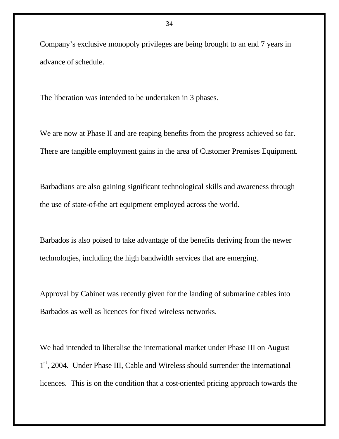Company's exclusive monopoly privileges are being brought to an end 7 years in advance of schedule.

The liberation was intended to be undertaken in 3 phases.

We are now at Phase II and are reaping benefits from the progress achieved so far. There are tangible employment gains in the area of Customer Premises Equipment.

Barbadians are also gaining significant technological skills and awareness through the use of state-of-the art equipment employed across the world.

Barbados is also poised to take advantage of the benefits deriving from the newer technologies, including the high bandwidth services that are emerging.

Approval by Cabinet was recently given for the landing of submarine cables into Barbados as well as licences for fixed wireless networks.

We had intended to liberalise the international market under Phase III on August 1<sup>st</sup>, 2004. Under Phase III, Cable and Wireless should surrender the international licences. This is on the condition that a cost-oriented pricing approach towards the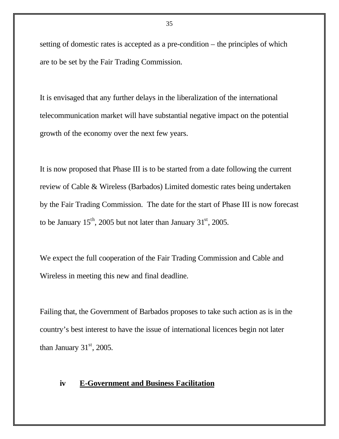setting of domestic rates is accepted as a pre-condition – the principles of which are to be set by the Fair Trading Commission.

It is envisaged that any further delays in the liberalization of the international telecommunication market will have substantial negative impact on the potential growth of the economy over the next few years.

It is now proposed that Phase III is to be started from a date following the current review of Cable & Wireless (Barbados) Limited domestic rates being undertaken by the Fair Trading Commission. The date for the start of Phase III is now forecast to be January  $15^{th}$ , 2005 but not later than January  $31^{st}$ , 2005.

We expect the full cooperation of the Fair Trading Commission and Cable and Wireless in meeting this new and final deadline.

Failing that, the Government of Barbados proposes to take such action as is in the country's best interest to have the issue of international licences begin not later than January  $31<sup>st</sup>$ , 2005.

#### **iv E-Government and Business Facilitation**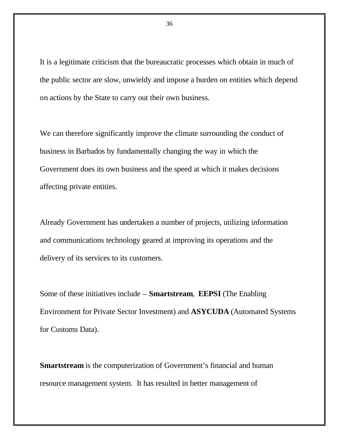It is a legitimate criticism that the bureaucratic processes which obtain in much of the public sector are slow, unwieldy and impose a burden on entities which depend on actions by the State to carry out their own business.

We can therefore significantly improve the climate surrounding the conduct of business in Barbados by fundamentally changing the way in which the Government does its own business and the speed at which it makes decisions affecting private entities.

Already Government has undertaken a number of projects, utilizing information and communications technology geared at improving its operations and the delivery of its services to its customers.

Some of these initiatives include – **Smartstream**, **EEPSI** (The Enabling Environment for Private Sector Investment) and **ASYCUDA** (Automated Systems for Customs Data).

**Smartstream** is the computerization of Government's financial and human resource management system. It has resulted in better management of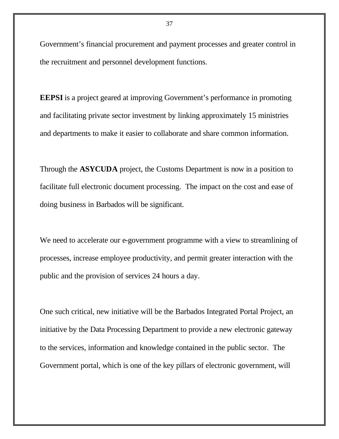Government's financial procurement and payment processes and greater control in the recruitment and personnel development functions.

**EEPSI** is a project geared at improving Government's performance in promoting and facilitating private sector investment by linking approximately 15 ministries and departments to make it easier to collaborate and share common information.

Through the **ASYCUDA** project, the Customs Department is now in a position to facilitate full electronic document processing. The impact on the cost and ease of doing business in Barbados will be significant.

We need to accelerate our e-government programme with a view to streamlining of processes, increase employee productivity, and permit greater interaction with the public and the provision of services 24 hours a day.

One such critical, new initiative will be the Barbados Integrated Portal Project, an initiative by the Data Processing Department to provide a new electronic gateway to the services, information and knowledge contained in the public sector. The Government portal, which is one of the key pillars of electronic government, will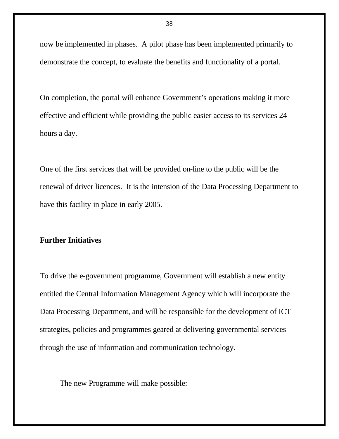now be implemented in phases. A pilot phase has been implemented primarily to demonstrate the concept, to evaluate the benefits and functionality of a portal.

On completion, the portal will enhance Government's operations making it more effective and efficient while providing the public easier access to its services 24 hours a day.

One of the first services that will be provided on-line to the public will be the renewal of driver licences. It is the intension of the Data Processing Department to have this facility in place in early 2005.

## **Further Initiatives**

To drive the e-government programme, Government will establish a new entity entitled the Central Information Management Agency which will incorporate the Data Processing Department, and will be responsible for the development of ICT strategies, policies and programmes geared at delivering governmental services through the use of information and communication technology.

The new Programme will make possible: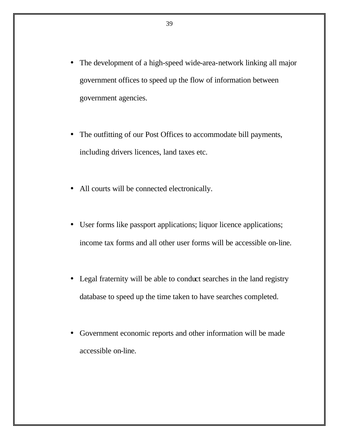- The development of a high-speed wide-area-network linking all major government offices to speed up the flow of information between government agencies.
- The outfitting of our Post Offices to accommodate bill payments, including drivers licences, land taxes etc.
- All courts will be connected electronically.
- User forms like passport applications; liquor licence applications; income tax forms and all other user forms will be accessible on-line.
- Legal fraternity will be able to conduct searches in the land registry database to speed up the time taken to have searches completed.
- Government economic reports and other information will be made accessible on-line.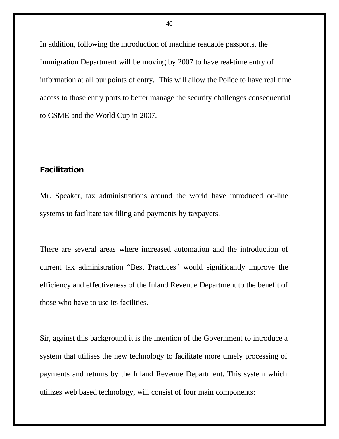In addition, following the introduction of machine readable passports, the Immigration Department will be moving by 2007 to have real-time entry of information at all our points of entry. This will allow the Police to have real time access to those entry ports to better manage the security challenges consequential to CSME and the World Cup in 2007.

## **Facilitation**

Mr. Speaker, tax administrations around the world have introduced on-line systems to facilitate tax filing and payments by taxpayers.

There are several areas where increased automation and the introduction of current tax administration "Best Practices" would significantly improve the efficiency and effectiveness of the Inland Revenue Department to the benefit of those who have to use its facilities.

Sir, against this background it is the intention of the Government to introduce a system that utilises the new technology to facilitate more timely processing of payments and returns by the Inland Revenue Department. This system which utilizes web based technology, will consist of four main components: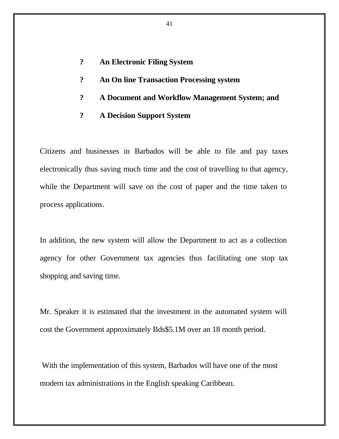- **? An Electronic Filing System**
- **? An On line Transaction Processing system**
- **? A Document and Workflow Management System; and**
- **? A Decision Support System**

Citizens and businesses in Barbados will be able to file and pay taxes electronically thus saving much time and the cost of travelling to that agency, while the Department will save on the cost of paper and the time taken to process applications.

In addition, the new system will allow the Department to act as a collection agency for other Government tax agencies thus facilitating one stop tax shopping and saving time.

Mr. Speaker it is estimated that the investment in the automated system will cost the Government approximately Bds\$5.1M over an 18 month period.

 With the implementation of this system, Barbados will have one of the most modern tax administrations in the English speaking Caribbean.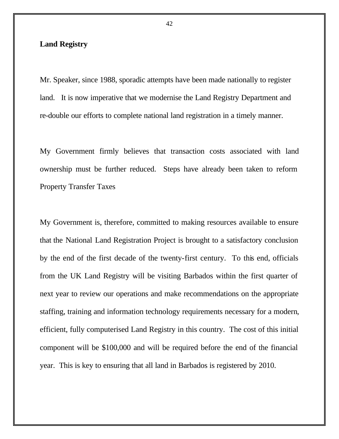## **Land Registry**

Mr. Speaker, since 1988, sporadic attempts have been made nationally to register land. It is now imperative that we modernise the Land Registry Department and re-double our efforts to complete national land registration in a timely manner.

My Government firmly believes that transaction costs associated with land ownership must be further reduced. Steps have already been taken to reform Property Transfer Taxes

My Government is, therefore, committed to making resources available to ensure that the National Land Registration Project is brought to a satisfactory conclusion by the end of the first decade of the twenty-first century. To this end, officials from the UK Land Registry will be visiting Barbados within the first quarter of next year to review our operations and make recommendations on the appropriate staffing, training and information technology requirements necessary for a modern, efficient, fully computerised Land Registry in this country. The cost of this initial component will be \$100,000 and will be required before the end of the financial year. This is key to ensuring that all land in Barbados is registered by 2010.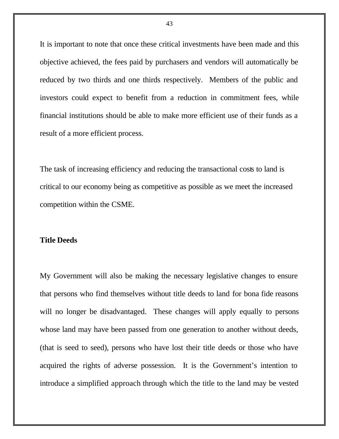It is important to note that once these critical investments have been made and this objective achieved, the fees paid by purchasers and vendors will automatically be reduced by two thirds and one thirds respectively. Members of the public and investors could expect to benefit from a reduction in commitment fees, while financial institutions should be able to make more efficient use of their funds as a result of a more efficient process.

The task of increasing efficiency and reducing the transactional costs to land is critical to our economy being as competitive as possible as we meet the increased competition within the CSME.

#### **Title Deeds**

My Government will also be making the necessary legislative changes to ensure that persons who find themselves without title deeds to land for bona fide reasons will no longer be disadvantaged. These changes will apply equally to persons whose land may have been passed from one generation to another without deeds, (that is seed to seed), persons who have lost their title deeds or those who have acquired the rights of adverse possession. It is the Government's intention to introduce a simplified approach through which the title to the land may be vested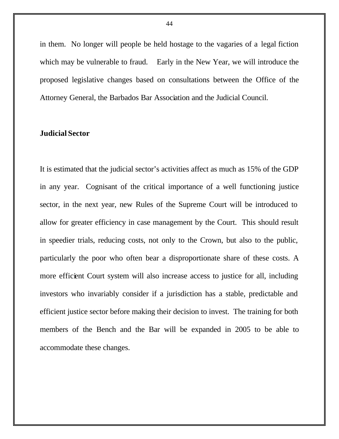in them. No longer will people be held hostage to the vagaries of a legal fiction which may be vulnerable to fraud. Early in the New Year, we will introduce the proposed legislative changes based on consultations between the Office of the Attorney General, the Barbados Bar Association and the Judicial Council.

## **Judicial Sector**

It is estimated that the judicial sector's activities affect as much as 15% of the GDP in any year. Cognisant of the critical importance of a well functioning justice sector, in the next year, new Rules of the Supreme Court will be introduced to allow for greater efficiency in case management by the Court. This should result in speedier trials, reducing costs, not only to the Crown, but also to the public, particularly the poor who often bear a disproportionate share of these costs. A more efficient Court system will also increase access to justice for all, including investors who invariably consider if a jurisdiction has a stable, predictable and efficient justice sector before making their decision to invest. The training for both members of the Bench and the Bar will be expanded in 2005 to be able to accommodate these changes.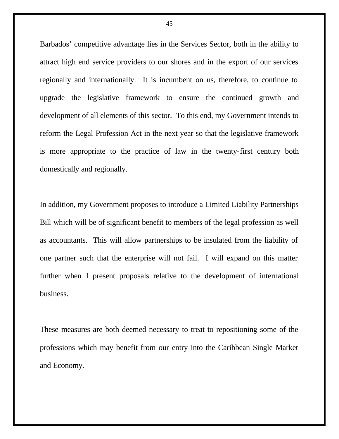Barbados' competitive advantage lies in the Services Sector, both in the ability to attract high end service providers to our shores and in the export of our services regionally and internationally. It is incumbent on us, therefore, to continue to upgrade the legislative framework to ensure the continued growth and development of all elements of this sector. To this end, my Government intends to reform the Legal Profession Act in the next year so that the legislative framework is more appropriate to the practice of law in the twenty-first century both domestically and regionally.

In addition, my Government proposes to introduce a Limited Liability Partnerships Bill which will be of significant benefit to members of the legal profession as well as accountants. This will allow partnerships to be insulated from the liability of one partner such that the enterprise will not fail. I will expand on this matter further when I present proposals relative to the development of international business.

These measures are both deemed necessary to treat to repositioning some of the professions which may benefit from our entry into the Caribbean Single Market and Economy.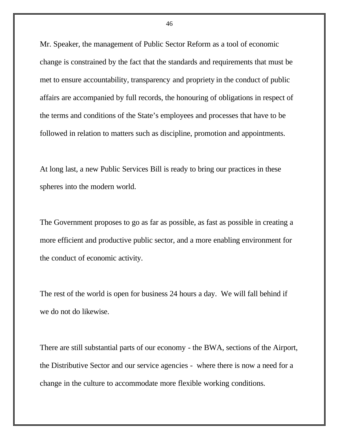Mr. Speaker, the management of Public Sector Reform as a tool of economic change is constrained by the fact that the standards and requirements that must be met to ensure accountability, transparency and propriety in the conduct of public affairs are accompanied by full records, the honouring of obligations in respect of the terms and conditions of the State's employees and processes that have to be followed in relation to matters such as discipline, promotion and appointments.

At long last, a new Public Services Bill is ready to bring our practices in these spheres into the modern world.

The Government proposes to go as far as possible, as fast as possible in creating a more efficient and productive public sector, and a more enabling environment for the conduct of economic activity.

The rest of the world is open for business 24 hours a day. We will fall behind if we do not do likewise.

There are still substantial parts of our economy - the BWA, sections of the Airport, the Distributive Sector and our service agencies - where there is now a need for a change in the culture to accommodate more flexible working conditions.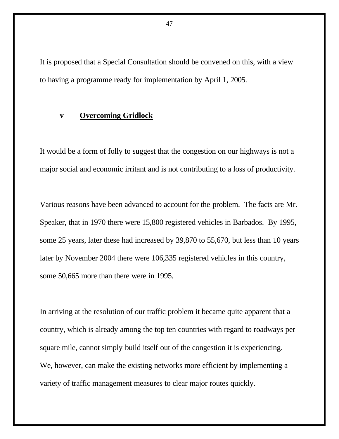It is proposed that a Special Consultation should be convened on this, with a view to having a programme ready for implementation by April 1, 2005.

## **v Overcoming Gridlock**

It would be a form of folly to suggest that the congestion on our highways is not a major social and economic irritant and is not contributing to a loss of productivity.

Various reasons have been advanced to account for the problem. The facts are Mr. Speaker, that in 1970 there were 15,800 registered vehicles in Barbados. By 1995, some 25 years, later these had increased by 39,870 to 55,670, but less than 10 years later by November 2004 there were 106,335 registered vehicles in this country, some 50,665 more than there were in 1995.

In arriving at the resolution of our traffic problem it became quite apparent that a country, which is already among the top ten countries with regard to roadways per square mile, cannot simply build itself out of the congestion it is experiencing. We, however, can make the existing networks more efficient by implementing a variety of traffic management measures to clear major routes quickly.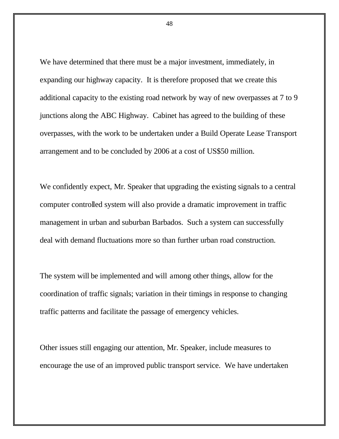We have determined that there must be a major investment, immediately, in expanding our highway capacity. It is therefore proposed that we create this additional capacity to the existing road network by way of new overpasses at 7 to 9 junctions along the ABC Highway. Cabinet has agreed to the building of these overpasses, with the work to be undertaken under a Build Operate Lease Transport arrangement and to be concluded by 2006 at a cost of US\$50 million.

We confidently expect, Mr. Speaker that upgrading the existing signals to a central computer controlled system will also provide a dramatic improvement in traffic management in urban and suburban Barbados. Such a system can successfully deal with demand fluctuations more so than further urban road construction.

The system will be implemented and will among other things, allow for the coordination of traffic signals; variation in their timings in response to changing traffic patterns and facilitate the passage of emergency vehicles.

Other issues still engaging our attention, Mr. Speaker, include measures to encourage the use of an improved public transport service. We have undertaken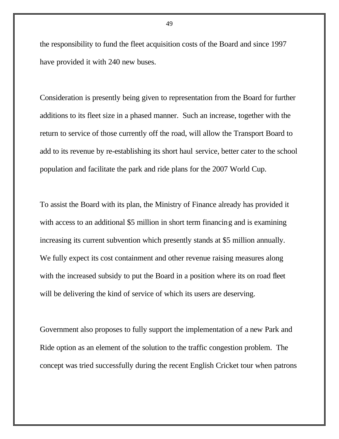the responsibility to fund the fleet acquisition costs of the Board and since 1997 have provided it with 240 new buses.

Consideration is presently being given to representation from the Board for further additions to its fleet size in a phased manner. Such an increase, together with the return to service of those currently off the road, will allow the Transport Board to add to its revenue by re-establishing its short haul service, better cater to the school population and facilitate the park and ride plans for the 2007 World Cup.

To assist the Board with its plan, the Ministry of Finance already has provided it with access to an additional \$5 million in short term financing and is examining increasing its current subvention which presently stands at \$5 million annually. We fully expect its cost containment and other revenue raising measures along with the increased subsidy to put the Board in a position where its on road fleet will be delivering the kind of service of which its users are deserving.

Government also proposes to fully support the implementation of a new Park and Ride option as an element of the solution to the traffic congestion problem. The concept was tried successfully during the recent English Cricket tour when patrons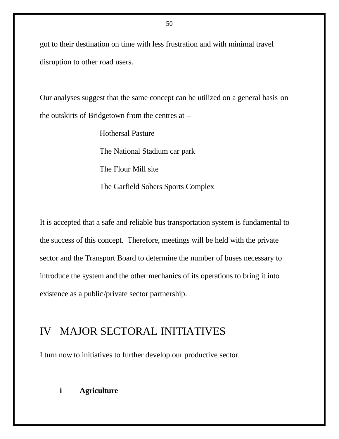got to their destination on time with less frustration and with minimal travel disruption to other road users.

Our analyses suggest that the same concept can be utilized on a general basis on the outskirts of Bridgetown from the centres at –

> Hothersal Pasture The National Stadium car park The Flour Mill site The Garfield Sobers Sports Complex

It is accepted that a safe and reliable bus transportation system is fundamental to the success of this concept. Therefore, meetings will be held with the private sector and the Transport Board to determine the number of buses necessary to introduce the system and the other mechanics of its operations to bring it into existence as a public/private sector partnership.

# IV MAJOR SECTORAL INITIATIVES

I turn now to initiatives to further develop our productive sector.

## **i Agriculture**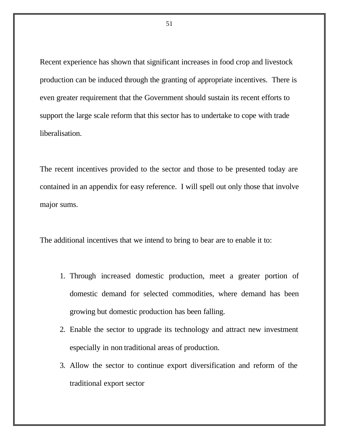Recent experience has shown that significant increases in food crop and livestock production can be induced through the granting of appropriate incentives. There is even greater requirement that the Government should sustain its recent efforts to support the large scale reform that this sector has to undertake to cope with trade liberalisation.

The recent incentives provided to the sector and those to be presented today are contained in an appendix for easy reference. I will spell out only those that involve major sums.

The additional incentives that we intend to bring to bear are to enable it to:

- 1. Through increased domestic production, meet a greater portion of domestic demand for selected commodities, where demand has been growing but domestic production has been falling.
- 2. Enable the sector to upgrade its technology and attract new investment especially in non traditional areas of production.
- 3. Allow the sector to continue export diversification and reform of the traditional export sector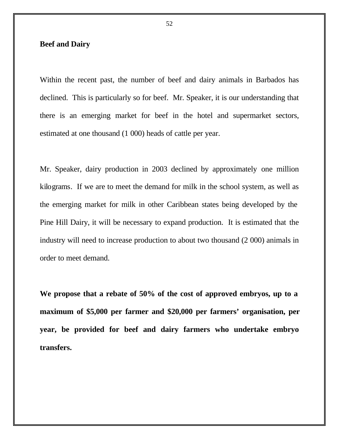## **Beef and Dairy**

Within the recent past, the number of beef and dairy animals in Barbados has declined. This is particularly so for beef. Mr. Speaker, it is our understanding that there is an emerging market for beef in the hotel and supermarket sectors, estimated at one thousand (1 000) heads of cattle per year.

Mr. Speaker, dairy production in 2003 declined by approximately one million kilograms. If we are to meet the demand for milk in the school system, as well as the emerging market for milk in other Caribbean states being developed by the Pine Hill Dairy, it will be necessary to expand production. It is estimated that the industry will need to increase production to about two thousand (2 000) animals in order to meet demand.

**We propose that a rebate of 50% of the cost of approved embryos, up to a maximum of \$5,000 per farmer and \$20,000 per farmers' organisation, per year, be provided for beef and dairy farmers who undertake embryo transfers.**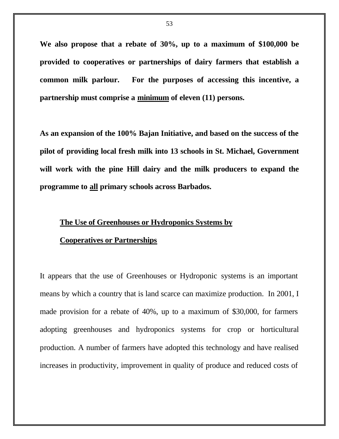**We also propose that a rebate of 30%, up to a maximum of \$100,000 be provided to cooperatives or partnerships of dairy farmers that establish a common milk parlour. For the purposes of accessing this incentive, a partnership must comprise a minimum of eleven (11) persons.**

**As an expansion of the 100% Bajan Initiative, and based on the success of the pilot of providing local fresh milk into 13 schools in St. Michael, Government will work with the pine Hill dairy and the milk producers to expand the programme to all primary schools across Barbados.** 

#### **The Use of Greenhouses or Hydroponics Systems by**

#### **Cooperatives or Partnerships**

It appears that the use of Greenhouses or Hydroponic systems is an important means by which a country that is land scarce can maximize production. In 2001, I made provision for a rebate of 40%, up to a maximum of \$30,000, for farmers adopting greenhouses and hydroponics systems for crop or horticultural production. A number of farmers have adopted this technology and have realised increases in productivity, improvement in quality of produce and reduced costs of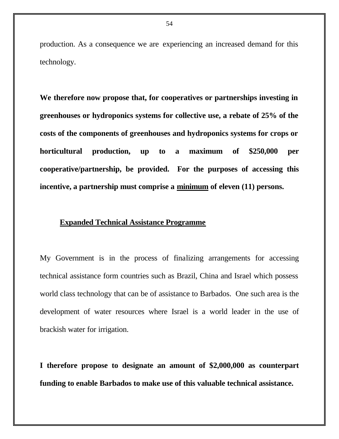production. As a consequence we are experiencing an increased demand for this technology.

**We therefore now propose that, for cooperatives or partnerships investing in greenhouses or hydroponics systems for collective use, a rebate of 25% of the costs of the components of greenhouses and hydroponics systems for crops or horticultural production, up to a maximum of \$250,000 per cooperative/partnership, be provided. For the purposes of accessing this incentive, a partnership must comprise a minimum of eleven (11) persons.**

#### **Expanded Technical Assistance Programme**

My Government is in the process of finalizing arrangements for accessing technical assistance form countries such as Brazil, China and Israel which possess world class technology that can be of assistance to Barbados. One such area is the development of water resources where Israel is a world leader in the use of brackish water for irrigation.

**I therefore propose to designate an amount of \$2,000,000 as counterpart funding to enable Barbados to make use of this valuable technical assistance.**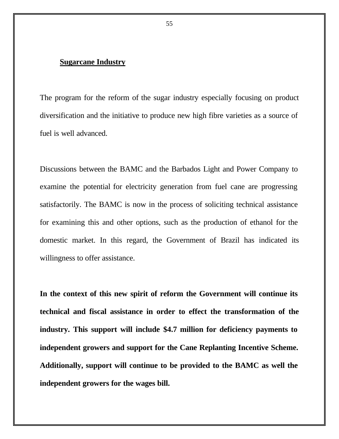## **Sugarcane Industry**

The program for the reform of the sugar industry especially focusing on product diversification and the initiative to produce new high fibre varieties as a source of fuel is well advanced.

Discussions between the BAMC and the Barbados Light and Power Company to examine the potential for electricity generation from fuel cane are progressing satisfactorily. The BAMC is now in the process of soliciting technical assistance for examining this and other options, such as the production of ethanol for the domestic market. In this regard, the Government of Brazil has indicated its willingness to offer assistance.

**In the context of this new spirit of reform the Government will continue its technical and fiscal assistance in order to effect the transformation of the industry. This support will include \$4.7 million for deficiency payments to independent growers and support for the Cane Replanting Incentive Scheme. Additionally, support will continue to be provided to the BAMC as well the independent growers for the wages bill.**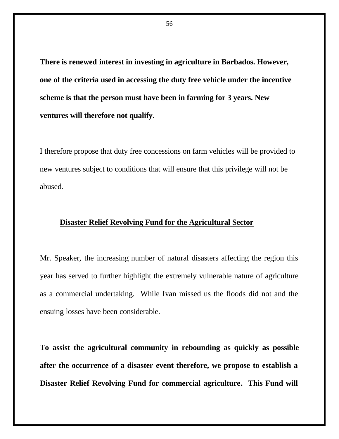**There is renewed interest in investing in agriculture in Barbados. However, one of the criteria used in accessing the duty free vehicle under the incentive scheme is that the person must have been in farming for 3 years. New ventures will therefore not qualify.**

I therefore propose that duty free concessions on farm vehicles will be provided to new ventures subject to conditions that will ensure that this privilege will not be abused.

#### **Disaster Relief Revolving Fund for the Agricultural Sector**

Mr. Speaker, the increasing number of natural disasters affecting the region this year has served to further highlight the extremely vulnerable nature of agriculture as a commercial undertaking. While Ivan missed us the floods did not and the ensuing losses have been considerable.

**To assist the agricultural community in rebounding as quickly as possible after the occurrence of a disaster event therefore, we propose to establish a Disaster Relief Revolving Fund for commercial agriculture. This Fund will**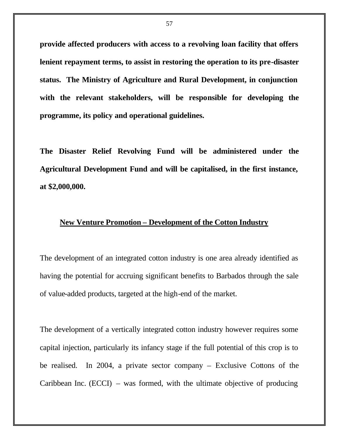**provide affected producers with access to a revolving loan facility that offers lenient repayment terms, to assist in restoring the operation to its pre-disaster status. The Ministry of Agriculture and Rural Development, in conjunction with the relevant stakeholders, will be responsible for developing the programme, its policy and operational guidelines.**

**The Disaster Relief Revolving Fund will be administered under the Agricultural Development Fund and will be capitalised, in the first instance, at \$2,000,000.** 

#### **New Venture Promotion – Development of the Cotton Industry**

The development of an integrated cotton industry is one area already identified as having the potential for accruing significant benefits to Barbados through the sale of value-added products, targeted at the high-end of the market.

The development of a vertically integrated cotton industry however requires some capital injection, particularly its infancy stage if the full potential of this crop is to be realised. In 2004, a private sector company – Exclusive Cottons of the Caribbean Inc. (ECCI) – was formed, with the ultimate objective of producing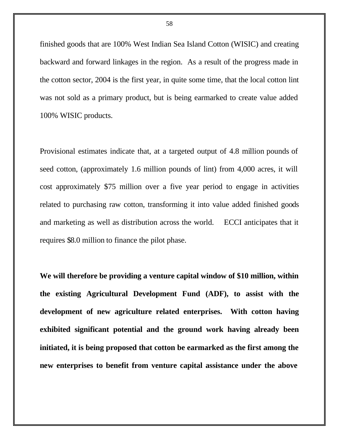finished goods that are 100% West Indian Sea Island Cotton (WISIC) and creating backward and forward linkages in the region. As a result of the progress made in the cotton sector, 2004 is the first year, in quite some time, that the local cotton lint was not sold as a primary product, but is being earmarked to create value added 100% WISIC products.

Provisional estimates indicate that, at a targeted output of 4.8 million pounds of seed cotton, (approximately 1.6 million pounds of lint) from 4,000 acres, it will cost approximately \$75 million over a five year period to engage in activities related to purchasing raw cotton, transforming it into value added finished goods and marketing as well as distribution across the world. ECCI anticipates that it requires \$8.0 million to finance the pilot phase.

**We will therefore be providing a venture capital window of \$10 million, within the existing Agricultural Development Fund (ADF), to assist with the development of new agriculture related enterprises. With cotton having exhibited significant potential and the ground work having already been initiated, it is being proposed that cotton be earmarked as the first among the new enterprises to benefit from venture capital assistance under the above**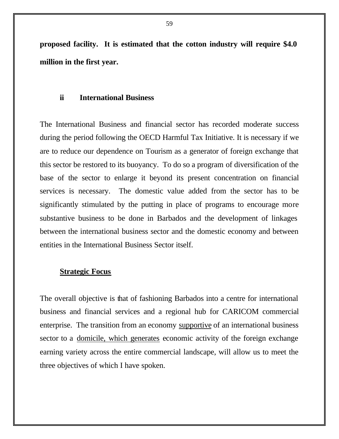**proposed facility. It is estimated that the cotton industry will require \$4.0 million in the first year.** 

#### **ii International Business**

The International Business and financial sector has recorded moderate success during the period following the OECD Harmful Tax Initiative. It is necessary if we are to reduce our dependence on Tourism as a generator of foreign exchange that this sector be restored to its buoyancy. To do so a program of diversification of the base of the sector to enlarge it beyond its present concentration on financial services is necessary. The domestic value added from the sector has to be significantly stimulated by the putting in place of programs to encourage more substantive business to be done in Barbados and the development of linkages between the international business sector and the domestic economy and between entities in the International Business Sector itself.

## **Strategic Focus**

The overall objective is that of fashioning Barbados into a centre for international business and financial services and a regional hub for CARICOM commercial enterprise. The transition from an economy supportive of an international business sector to a domicile, which generates economic activity of the foreign exchange earning variety across the entire commercial landscape, will allow us to meet the three objectives of which I have spoken.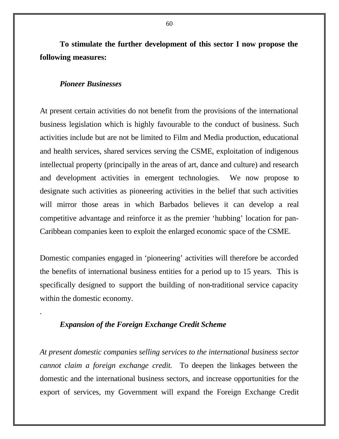**To stimulate the further development of this sector I now propose the following measures:**

#### *Pioneer Businesses*

.

At present certain activities do not benefit from the provisions of the international business legislation which is highly favourable to the conduct of business. Such activities include but are not be limited to Film and Media production, educational and health services, shared services serving the CSME, exploitation of indigenous intellectual property (principally in the areas of art, dance and culture) and research and development activities in emergent technologies. We now propose to designate such activities as pioneering activities in the belief that such activities will mirror those areas in which Barbados believes it can develop a real competitive advantage and reinforce it as the premier 'hubbing' location for pan-Caribbean companies keen to exploit the enlarged economic space of the CSME.

Domestic companies engaged in 'pioneering' activities will therefore be accorded the benefits of international business entities for a period up to 15 years. This is specifically designed to support the building of non-traditional service capacity within the domestic economy.

## *Expansion of the Foreign Exchange Credit Scheme*

*At present domestic companies selling services to the international business sector cannot claim a foreign exchange credit.* To deepen the linkages between the domestic and the international business sectors, and increase opportunities for the export of services, my Government will expand the Foreign Exchange Credit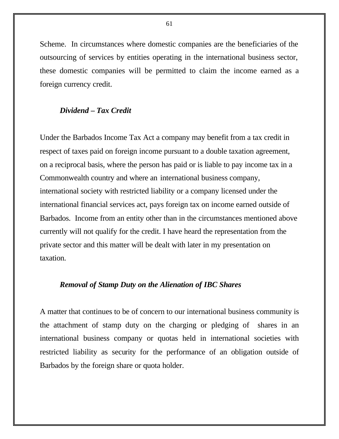Scheme. In circumstances where domestic companies are the beneficiaries of the outsourcing of services by entities operating in the international business sector, these domestic companies will be permitted to claim the income earned as a foreign currency credit.

## *Dividend – Tax Credit*

Under the Barbados Income Tax Act a company may benefit from a tax credit in respect of taxes paid on foreign income pursuant to a double taxation agreement, on a reciprocal basis, where the person has paid or is liable to pay income tax in a Commonwealth country and where an international business company, international society with restricted liability or a company licensed under the international financial services act, pays foreign tax on income earned outside of Barbados. Income from an entity other than in the circumstances mentioned above currently will not qualify for the credit. I have heard the representation from the private sector and this matter will be dealt with later in my presentation on taxation.

## *Removal of Stamp Duty on the Alienation of IBC Shares*

A matter that continues to be of concern to our international business community is the attachment of stamp duty on the charging or pledging of shares in an international business company or quotas held in international societies with restricted liability as security for the performance of an obligation outside of Barbados by the foreign share or quota holder.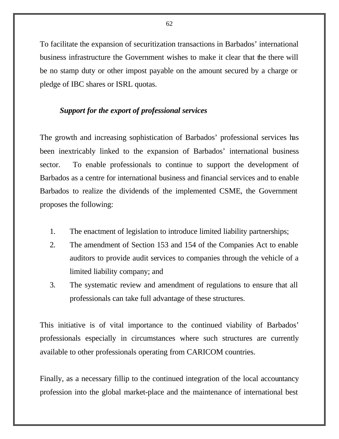To facilitate the expansion of securitization transactions in Barbados' international business infrastructure the Government wishes to make it clear that the there will be no stamp duty or other impost payable on the amount secured by a charge or pledge of IBC shares or ISRL quotas.

## *Support for the export of professional services*

The growth and increasing sophistication of Barbados' professional services has been inextricably linked to the expansion of Barbados' international business sector. To enable professionals to continue to support the development of Barbados as a centre for international business and financial services and to enable Barbados to realize the dividends of the implemented CSME, the Government proposes the following:

- 1. The enactment of legislation to introduce limited liability partnerships;
- 2. The amendment of Section 153 and 154 of the Companies Act to enable auditors to provide audit services to companies through the vehicle of a limited liability company; and
- 3. The systematic review and amendment of regulations to ensure that all professionals can take full advantage of these structures.

This initiative is of vital importance to the continued viability of Barbados' professionals especially in circumstances where such structures are currently available to other professionals operating from CARICOM countries.

Finally, as a necessary fillip to the continued integration of the local accountancy profession into the global market-place and the maintenance of international best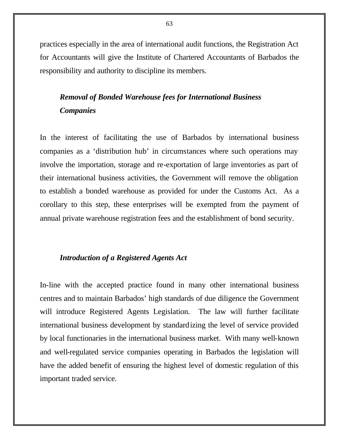practices especially in the area of international audit functions, the Registration Act for Accountants will give the Institute of Chartered Accountants of Barbados the responsibility and authority to discipline its members.

## *Removal of Bonded Warehouse fees for International Business Companies*

In the interest of facilitating the use of Barbados by international business companies as a 'distribution hub' in circumstances where such operations may involve the importation, storage and re-exportation of large inventories as part of their international business activities, the Government will remove the obligation to establish a bonded warehouse as provided for under the Customs Act. As a corollary to this step, these enterprises will be exempted from the payment of annual private warehouse registration fees and the establishment of bond security.

#### *Introduction of a Registered Agents Act*

In-line with the accepted practice found in many other international business centres and to maintain Barbados' high standards of due diligence the Government will introduce Registered Agents Legislation. The law will further facilitate international business development by standardizing the level of service provided by local functionaries in the international business market. With many well-known and well-regulated service companies operating in Barbados the legislation will have the added benefit of ensuring the highest level of domestic regulation of this important traded service.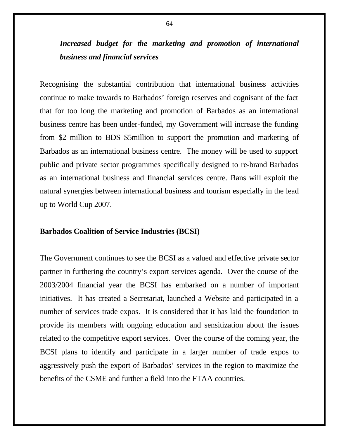# *Increased budget for the marketing and promotion of international business and financial services*

Recognising the substantial contribution that international business activities continue to make towards to Barbados' foreign reserves and cognisant of the fact that for too long the marketing and promotion of Barbados as an international business centre has been under-funded, my Government will increase the funding from \$2 million to BDS \$5million to support the promotion and marketing of Barbados as an international business centre. The money will be used to support public and private sector programmes specifically designed to re-brand Barbados as an international business and financial services centre. Plans will exploit the natural synergies between international business and tourism especially in the lead up to World Cup 2007.

#### **Barbados Coalition of Service Industries (BCSI)**

The Government continues to see the BCSI as a valued and effective private sector partner in furthering the country's export services agenda. Over the course of the 2003/2004 financial year the BCSI has embarked on a number of important initiatives. It has created a Secretariat, launched a Website and participated in a number of services trade expos. It is considered that it has laid the foundation to provide its members with ongoing education and sensitization about the issues related to the competitive export services. Over the course of the coming year, the BCSI plans to identify and participate in a larger number of trade expos to aggressively push the export of Barbados' services in the region to maximize the benefits of the CSME and further a field into the FTAA countries.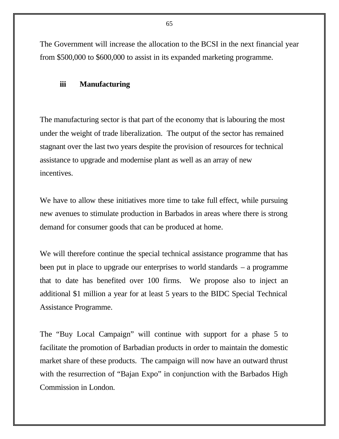The Government will increase the allocation to the BCSI in the next financial year from \$500,000 to \$600,000 to assist in its expanded marketing programme.

#### **iii Manufacturing**

The manufacturing sector is that part of the economy that is labouring the most under the weight of trade liberalization. The output of the sector has remained stagnant over the last two years despite the provision of resources for technical assistance to upgrade and modernise plant as well as an array of new incentives.

We have to allow these initiatives more time to take full effect, while pursuing new avenues to stimulate production in Barbados in areas where there is strong demand for consumer goods that can be produced at home.

We will therefore continue the special technical assistance programme that has been put in place to upgrade our enterprises to world standards – a programme that to date has benefited over 100 firms. We propose also to inject an additional \$1 million a year for at least 5 years to the BIDC Special Technical Assistance Programme.

The "Buy Local Campaign" will continue with support for a phase 5 to facilitate the promotion of Barbadian products in order to maintain the domestic market share of these products. The campaign will now have an outward thrust with the resurrection of "Bajan Expo" in conjunction with the Barbados High Commission in London.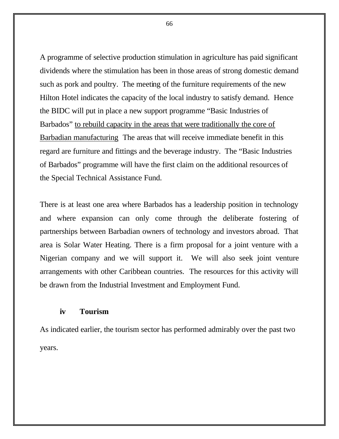A programme of selective production stimulation in agriculture has paid significant dividends where the stimulation has been in those areas of strong domestic demand such as pork and poultry. The meeting of the furniture requirements of the new Hilton Hotel indicates the capacity of the local industry to satisfy demand. Hence the BIDC will put in place a new support programme "Basic Industries of Barbados" to rebuild capacity in the areas that were traditionally the core of Barbadian manufacturing The areas that will receive immediate benefit in this regard are furniture and fittings and the beverage industry. The "Basic Industries of Barbados" programme will have the first claim on the additional resources of the Special Technical Assistance Fund.

There is at least one area where Barbados has a leadership position in technology and where expansion can only come through the deliberate fostering of partnerships between Barbadian owners of technology and investors abroad. That area is Solar Water Heating. There is a firm proposal for a joint venture with a Nigerian company and we will support it. We will also seek joint venture arrangements with other Caribbean countries. The resources for this activity will be drawn from the Industrial Investment and Employment Fund.

## **iv Tourism**

As indicated earlier, the tourism sector has performed admirably over the past two years.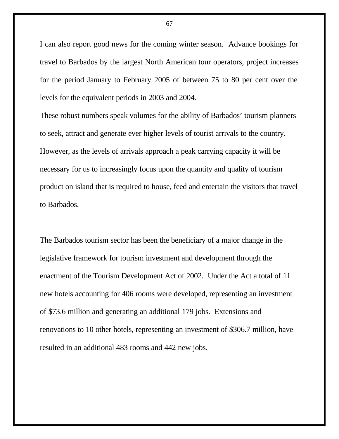I can also report good news for the coming winter season. Advance bookings for travel to Barbados by the largest North American tour operators, project increases for the period January to February 2005 of between 75 to 80 per cent over the levels for the equivalent periods in 2003 and 2004.

These robust numbers speak volumes for the ability of Barbados' tourism planners to seek, attract and generate ever higher levels of tourist arrivals to the country. However, as the levels of arrivals approach a peak carrying capacity it will be necessary for us to increasingly focus upon the quantity and quality of tourism product on island that is required to house, feed and entertain the visitors that travel to Barbados.

The Barbados tourism sector has been the beneficiary of a major change in the legislative framework for tourism investment and development through the enactment of the Tourism Development Act of 2002. Under the Act a total of 11 new hotels accounting for 406 rooms were developed, representing an investment of \$73.6 million and generating an additional 179 jobs. Extensions and renovations to 10 other hotels, representing an investment of \$306.7 million, have resulted in an additional 483 rooms and 442 new jobs.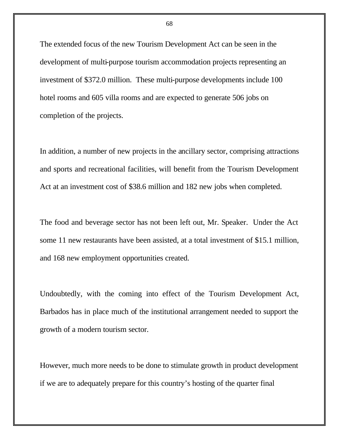The extended focus of the new Tourism Development Act can be seen in the development of multi-purpose tourism accommodation projects representing an investment of \$372.0 million. These multi-purpose developments include 100 hotel rooms and 605 villa rooms and are expected to generate 506 jobs on completion of the projects.

In addition, a number of new projects in the ancillary sector, comprising attractions and sports and recreational facilities, will benefit from the Tourism Development Act at an investment cost of \$38.6 million and 182 new jobs when completed.

The food and beverage sector has not been left out, Mr. Speaker. Under the Act some 11 new restaurants have been assisted, at a total investment of \$15.1 million, and 168 new employment opportunities created.

Undoubtedly, with the coming into effect of the Tourism Development Act, Barbados has in place much of the institutional arrangement needed to support the growth of a modern tourism sector.

However, much more needs to be done to stimulate growth in product development if we are to adequately prepare for this country's hosting of the quarter final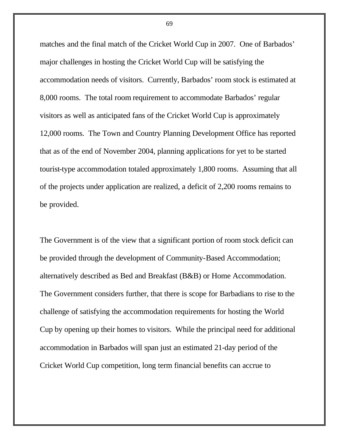matches and the final match of the Cricket World Cup in 2007. One of Barbados' major challenges in hosting the Cricket World Cup will be satisfying the accommodation needs of visitors. Currently, Barbados' room stock is estimated at 8,000 rooms. The total room requirement to accommodate Barbados' regular visitors as well as anticipated fans of the Cricket World Cup is approximately 12,000 rooms. The Town and Country Planning Development Office has reported that as of the end of November 2004, planning applications for yet to be started tourist-type accommodation totaled approximately 1,800 rooms. Assuming that all of the projects under application are realized, a deficit of 2,200 rooms remains to be provided.

The Government is of the view that a significant portion of room stock deficit can be provided through the development of Community-Based Accommodation; alternatively described as Bed and Breakfast (B&B) or Home Accommodation. The Government considers further, that there is scope for Barbadians to rise to the challenge of satisfying the accommodation requirements for hosting the World Cup by opening up their homes to visitors. While the principal need for additional accommodation in Barbados will span just an estimated 21-day period of the Cricket World Cup competition, long term financial benefits can accrue to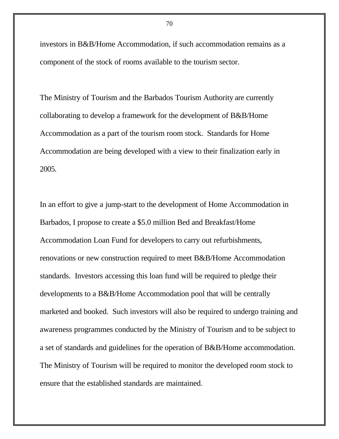investors in B&B/Home Accommodation, if such accommodation remains as a component of the stock of rooms available to the tourism sector.

The Ministry of Tourism and the Barbados Tourism Authority are currently collaborating to develop a framework for the development of B&B/Home Accommodation as a part of the tourism room stock. Standards for Home Accommodation are being developed with a view to their finalization early in 2005.

In an effort to give a jump-start to the development of Home Accommodation in Barbados, I propose to create a \$5.0 million Bed and Breakfast/Home Accommodation Loan Fund for developers to carry out refurbishments, renovations or new construction required to meet B&B/Home Accommodation standards. Investors accessing this loan fund will be required to pledge their developments to a B&B/Home Accommodation pool that will be centrally marketed and booked. Such investors will also be required to undergo training and awareness programmes conducted by the Ministry of Tourism and to be subject to a set of standards and guidelines for the operation of B&B/Home accommodation. The Ministry of Tourism will be required to monitor the developed room stock to ensure that the established standards are maintained.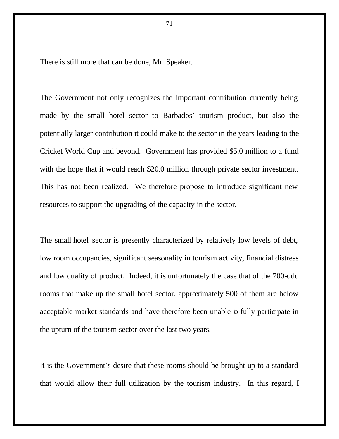There is still more that can be done, Mr. Speaker.

The Government not only recognizes the important contribution currently being made by the small hotel sector to Barbados' tourism product, but also the potentially larger contribution it could make to the sector in the years leading to the Cricket World Cup and beyond. Government has provided \$5.0 million to a fund with the hope that it would reach \$20.0 million through private sector investment. This has not been realized. We therefore propose to introduce significant new resources to support the upgrading of the capacity in the sector.

The small hotel sector is presently characterized by relatively low levels of debt, low room occupancies, significant seasonality in tourism activity, financial distress and low quality of product. Indeed, it is unfortunately the case that of the 700-odd rooms that make up the small hotel sector, approximately 500 of them are below acceptable market standards and have therefore been unable to fully participate in the upturn of the tourism sector over the last two years.

It is the Government's desire that these rooms should be brought up to a standard that would allow their full utilization by the tourism industry. In this regard, I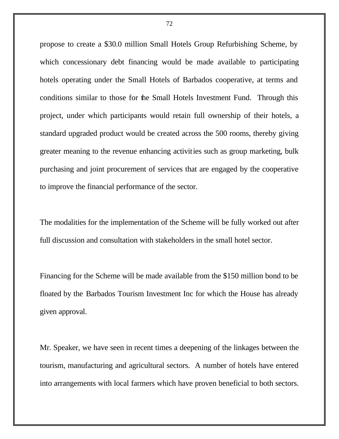propose to create a \$30.0 million Small Hotels Group Refurbishing Scheme, by which concessionary debt financing would be made available to participating hotels operating under the Small Hotels of Barbados cooperative, at terms and conditions similar to those for the Small Hotels Investment Fund. Through this project, under which participants would retain full ownership of their hotels, a standard upgraded product would be created across the 500 rooms, thereby giving greater meaning to the revenue enhancing activities such as group marketing, bulk purchasing and joint procurement of services that are engaged by the cooperative to improve the financial performance of the sector.

The modalities for the implementation of the Scheme will be fully worked out after full discussion and consultation with stakeholders in the small hotel sector.

Financing for the Scheme will be made available from the \$150 million bond to be floated by the Barbados Tourism Investment Inc for which the House has already given approval.

Mr. Speaker, we have seen in recent times a deepening of the linkages between the tourism, manufacturing and agricultural sectors. A number of hotels have entered into arrangements with local farmers which have proven beneficial to both sectors.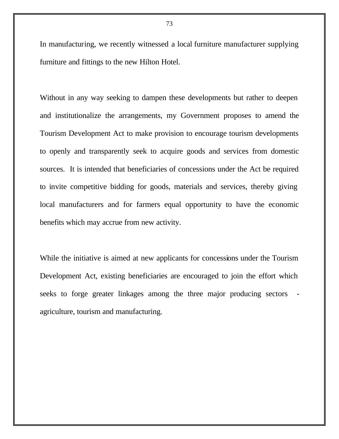In manufacturing, we recently witnessed a local furniture manufacturer supplying furniture and fittings to the new Hilton Hotel.

Without in any way seeking to dampen these developments but rather to deepen and institutionalize the arrangements, my Government proposes to amend the Tourism Development Act to make provision to encourage tourism developments to openly and transparently seek to acquire goods and services from domestic sources. It is intended that beneficiaries of concessions under the Act be required to invite competitive bidding for goods, materials and services, thereby giving local manufacturers and for farmers equal opportunity to have the economic benefits which may accrue from new activity.

While the initiative is aimed at new applicants for concessions under the Tourism Development Act, existing beneficiaries are encouraged to join the effort which seeks to forge greater linkages among the three major producing sectors agriculture, tourism and manufacturing.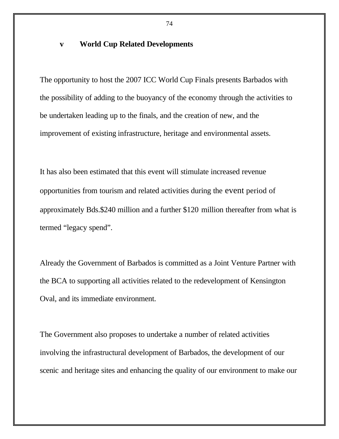### **v World Cup Related Developments**

The opportunity to host the 2007 ICC World Cup Finals presents Barbados with the possibility of adding to the buoyancy of the economy through the activities to be undertaken leading up to the finals, and the creation of new, and the improvement of existing infrastructure, heritage and environmental assets.

It has also been estimated that this event will stimulate increased revenue opportunities from tourism and related activities during the event period of approximately Bds.\$240 million and a further \$120 million thereafter from what is termed "legacy spend".

Already the Government of Barbados is committed as a Joint Venture Partner with the BCA to supporting all activities related to the redevelopment of Kensington Oval, and its immediate environment.

The Government also proposes to undertake a number of related activities involving the infrastructural development of Barbados, the development of our scenic and heritage sites and enhancing the quality of our environment to make our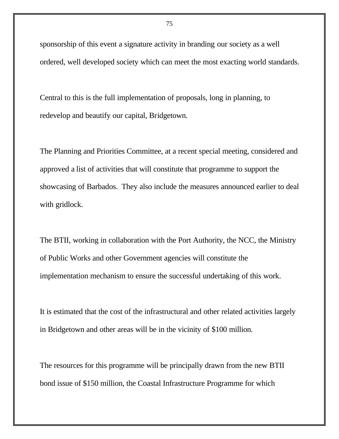sponsorship of this event a signature activity in branding our society as a well ordered, well developed society which can meet the most exacting world standards.

Central to this is the full implementation of proposals, long in planning, to redevelop and beautify our capital, Bridgetown.

The Planning and Priorities Committee, at a recent special meeting, considered and approved a list of activities that will constitute that programme to support the showcasing of Barbados. They also include the measures announced earlier to deal with gridlock.

The BTII, working in collaboration with the Port Authority, the NCC, the Ministry of Public Works and other Government agencies will constitute the implementation mechanism to ensure the successful undertaking of this work.

It is estimated that the cost of the infrastructural and other related activities largely in Bridgetown and other areas will be in the vicinity of \$100 million.

The resources for this programme will be principally drawn from the new BTII bond issue of \$150 million, the Coastal Infrastructure Programme for which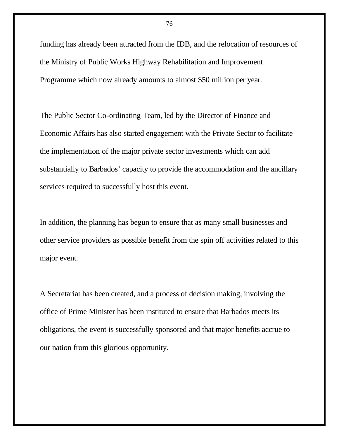funding has already been attracted from the IDB, and the relocation of resources of the Ministry of Public Works Highway Rehabilitation and Improvement Programme which now already amounts to almost \$50 million per year.

The Public Sector Co-ordinating Team, led by the Director of Finance and Economic Affairs has also started engagement with the Private Sector to facilitate the implementation of the major private sector investments which can add substantially to Barbados' capacity to provide the accommodation and the ancillary services required to successfully host this event.

In addition, the planning has begun to ensure that as many small businesses and other service providers as possible benefit from the spin off activities related to this major event.

A Secretariat has been created, and a process of decision making, involving the office of Prime Minister has been instituted to ensure that Barbados meets its obligations, the event is successfully sponsored and that major benefits accrue to our nation from this glorious opportunity.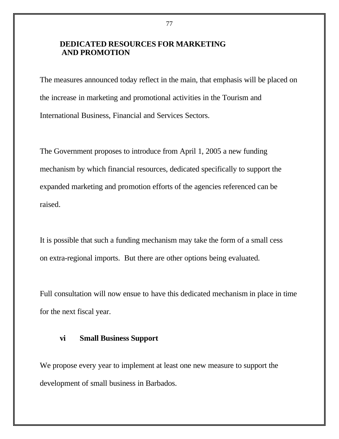# **DEDICATED RESOURCES FOR MARKETING AND PROMOTION**

The measures announced today reflect in the main, that emphasis will be placed on the increase in marketing and promotional activities in the Tourism and International Business, Financial and Services Sectors.

The Government proposes to introduce from April 1, 2005 a new funding mechanism by which financial resources, dedicated specifically to support the expanded marketing and promotion efforts of the agencies referenced can be raised.

It is possible that such a funding mechanism may take the form of a small cess on extra-regional imports. But there are other options being evaluated.

Full consultation will now ensue to have this dedicated mechanism in place in time for the next fiscal year.

#### **vi Small Business Support**

We propose every year to implement at least one new measure to support the development of small business in Barbados.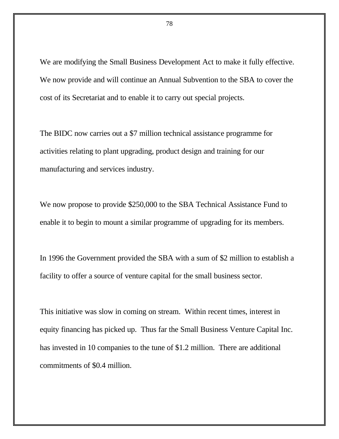We are modifying the Small Business Development Act to make it fully effective. We now provide and will continue an Annual Subvention to the SBA to cover the cost of its Secretariat and to enable it to carry out special projects.

The BIDC now carries out a \$7 million technical assistance programme for activities relating to plant upgrading, product design and training for our manufacturing and services industry.

We now propose to provide \$250,000 to the SBA Technical Assistance Fund to enable it to begin to mount a similar programme of upgrading for its members.

In 1996 the Government provided the SBA with a sum of \$2 million to establish a facility to offer a source of venture capital for the small business sector.

This initiative was slow in coming on stream. Within recent times, interest in equity financing has picked up. Thus far the Small Business Venture Capital Inc. has invested in 10 companies to the tune of \$1.2 million. There are additional commitments of \$0.4 million.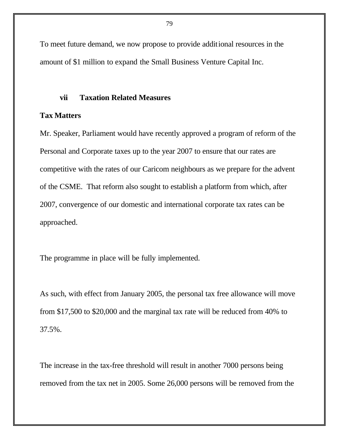To meet future demand, we now propose to provide additional resources in the amount of \$1 million to expand the Small Business Venture Capital Inc.

#### **vii Taxation Related Measures**

#### **Tax Matters**

Mr. Speaker, Parliament would have recently approved a program of reform of the Personal and Corporate taxes up to the year 2007 to ensure that our rates are competitive with the rates of our Caricom neighbours as we prepare for the advent of the CSME. That reform also sought to establish a platform from which, after 2007, convergence of our domestic and international corporate tax rates can be approached.

The programme in place will be fully implemented.

As such, with effect from January 2005, the personal tax free allowance will move from \$17,500 to \$20,000 and the marginal tax rate will be reduced from 40% to 37.5%.

The increase in the tax-free threshold will result in another 7000 persons being removed from the tax net in 2005. Some 26,000 persons will be removed from the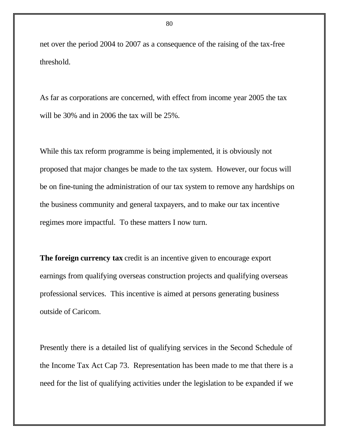net over the period 2004 to 2007 as a consequence of the raising of the tax-free threshold.

As far as corporations are concerned, with effect from income year 2005 the tax will be 30% and in 2006 the tax will be 25%.

While this tax reform programme is being implemented, it is obviously not proposed that major changes be made to the tax system. However, our focus will be on fine-tuning the administration of our tax system to remove any hardships on the business community and general taxpayers, and to make our tax incentive regimes more impactful. To these matters I now turn.

**The foreign currency tax** credit is an incentive given to encourage export earnings from qualifying overseas construction projects and qualifying overseas professional services. This incentive is aimed at persons generating business outside of Caricom.

Presently there is a detailed list of qualifying services in the Second Schedule of the Income Tax Act Cap 73. Representation has been made to me that there is a need for the list of qualifying activities under the legislation to be expanded if we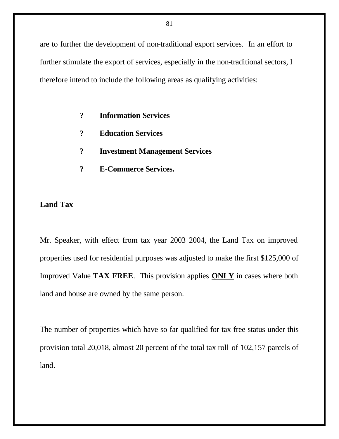are to further the development of non-traditional export services. In an effort to further stimulate the export of services, especially in the non-traditional sectors, I therefore intend to include the following areas as qualifying activities:

- **? Information Services**
- **? Education Services**
- **? Investment Management Services**
- **? E-Commerce Services.**

# **Land Tax**

Mr. Speaker, with effect from tax year 2003 2004, the Land Tax on improved properties used for residential purposes was adjusted to make the first \$125,000 of Improved Value **TAX FREE**. This provision applies **ONLY** in cases where both land and house are owned by the same person.

The number of properties which have so far qualified for tax free status under this provision total 20,018, almost 20 percent of the total tax roll of 102,157 parcels of land.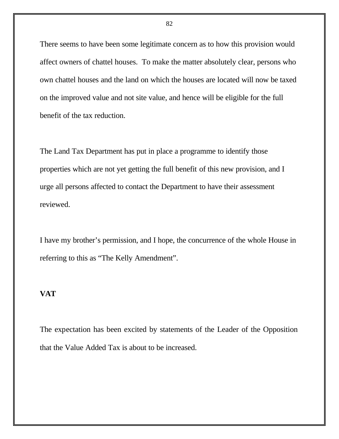There seems to have been some legitimate concern as to how this provision would affect owners of chattel houses. To make the matter absolutely clear, persons who own chattel houses and the land on which the houses are located will now be taxed on the improved value and not site value, and hence will be eligible for the full benefit of the tax reduction.

The Land Tax Department has put in place a programme to identify those properties which are not yet getting the full benefit of this new provision, and I urge all persons affected to contact the Department to have their assessment reviewed.

I have my brother's permission, and I hope, the concurrence of the whole House in referring to this as "The Kelly Amendment".

# **VAT**

The expectation has been excited by statements of the Leader of the Opposition that the Value Added Tax is about to be increased.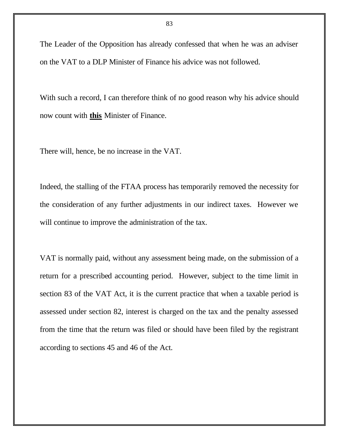The Leader of the Opposition has already confessed that when he was an adviser on the VAT to a DLP Minister of Finance his advice was not followed.

With such a record, I can therefore think of no good reason why his advice should now count with **this** Minister of Finance.

There will, hence, be no increase in the VAT.

Indeed, the stalling of the FTAA process has temporarily removed the necessity for the consideration of any further adjustments in our indirect taxes. However we will continue to improve the administration of the tax.

VAT is normally paid, without any assessment being made, on the submission of a return for a prescribed accounting period. However, subject to the time limit in section 83 of the VAT Act, it is the current practice that when a taxable period is assessed under section 82, interest is charged on the tax and the penalty assessed from the time that the return was filed or should have been filed by the registrant according to sections 45 and 46 of the Act.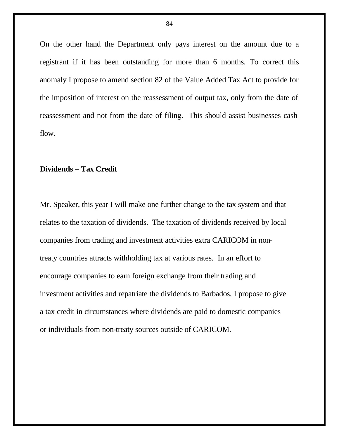On the other hand the Department only pays interest on the amount due to a registrant if it has been outstanding for more than 6 months. To correct this anomaly I propose to amend section 82 of the Value Added Tax Act to provide for the imposition of interest on the reassessment of output tax, only from the date of reassessment and not from the date of filing. This should assist businesses cash flow.

### **Dividends – Tax Credit**

Mr. Speaker, this year I will make one further change to the tax system and that relates to the taxation of dividends. The taxation of dividends received by local companies from trading and investment activities extra CARICOM in nontreaty countries attracts withholding tax at various rates. In an effort to encourage companies to earn foreign exchange from their trading and investment activities and repatriate the dividends to Barbados, I propose to give a tax credit in circumstances where dividends are paid to domestic companies or individuals from non-treaty sources outside of CARICOM.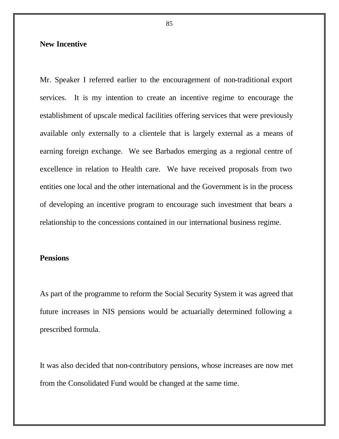### **New Incentive**

Mr. Speaker I referred earlier to the encouragement of non-traditional export services. It is my intention to create an incentive regime to encourage the establishment of upscale medical facilities offering services that were previously available only externally to a clientele that is largely external as a means of earning foreign exchange. We see Barbados emerging as a regional centre of excellence in relation to Health care. We have received proposals from two entities one local and the other international and the Government is in the process of developing an incentive program to encourage such investment that bears a relationship to the concessions contained in our international business regime.

#### **Pensions**

As part of the programme to reform the Social Security System it was agreed that future increases in NIS pensions would be actuarially determined following a prescribed formula.

It was also decided that non-contributory pensions, whose increases are now met from the Consolidated Fund would be changed at the same time.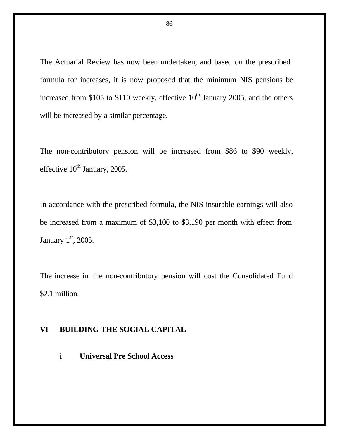The Actuarial Review has now been undertaken, and based on the prescribed formula for increases, it is now proposed that the minimum NIS pensions be increased from \$105 to \$110 weekly, effective  $10<sup>th</sup>$  January 2005, and the others will be increased by a similar percentage.

The non-contributory pension will be increased from \$86 to \$90 weekly, effective  $10^{th}$  January, 2005.

In accordance with the prescribed formula, the NIS insurable earnings will also be increased from a maximum of \$3,100 to \$3,190 per month with effect from January  $1<sup>st</sup>$ , 2005.

The increase in the non-contributory pension will cost the Consolidated Fund \$2.1 million.

# **VI BUILDING THE SOCIAL CAPITAL**

i **Universal Pre School Access**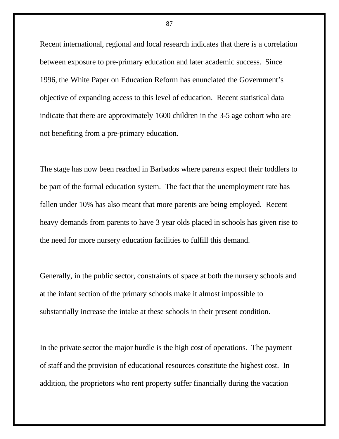Recent international, regional and local research indicates that there is a correlation between exposure to pre-primary education and later academic success. Since 1996, the White Paper on Education Reform has enunciated the Government's objective of expanding access to this level of education. Recent statistical data indicate that there are approximately 1600 children in the 3-5 age cohort who are not benefiting from a pre-primary education.

The stage has now been reached in Barbados where parents expect their toddlers to be part of the formal education system. The fact that the unemployment rate has fallen under 10% has also meant that more parents are being employed. Recent heavy demands from parents to have 3 year olds placed in schools has given rise to the need for more nursery education facilities to fulfill this demand.

Generally, in the public sector, constraints of space at both the nursery schools and at the infant section of the primary schools make it almost impossible to substantially increase the intake at these schools in their present condition.

In the private sector the major hurdle is the high cost of operations. The payment of staff and the provision of educational resources constitute the highest cost. In addition, the proprietors who rent property suffer financially during the vacation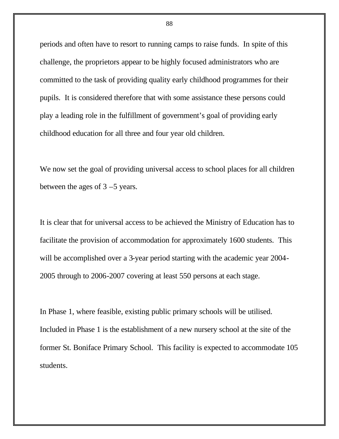periods and often have to resort to running camps to raise funds. In spite of this challenge, the proprietors appear to be highly focused administrators who are committed to the task of providing quality early childhood programmes for their pupils. It is considered therefore that with some assistance these persons could play a leading role in the fulfillment of government's goal of providing early childhood education for all three and four year old children.

We now set the goal of providing universal access to school places for all children between the ages of 3 –5 years.

It is clear that for universal access to be achieved the Ministry of Education has to facilitate the provision of accommodation for approximately 1600 students. This will be accomplished over a 3-year period starting with the academic year 2004- 2005 through to 2006-2007 covering at least 550 persons at each stage.

In Phase 1, where feasible, existing public primary schools will be utilised. Included in Phase 1 is the establishment of a new nursery school at the site of the former St. Boniface Primary School. This facility is expected to accommodate 105 students.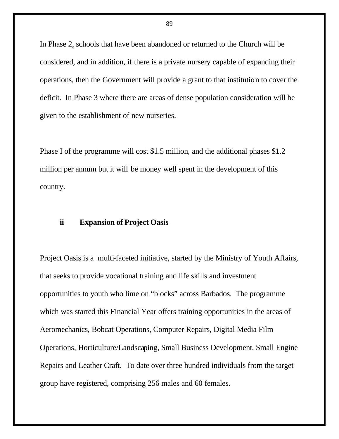In Phase 2, schools that have been abandoned or returned to the Church will be considered, and in addition, if there is a private nursery capable of expanding their operations, then the Government will provide a grant to that institution to cover the deficit. In Phase 3 where there are areas of dense population consideration will be given to the establishment of new nurseries.

Phase I of the programme will cost \$1.5 million, and the additional phases \$1.2 million per annum but it will be money well spent in the development of this country.

#### **ii Expansion of Project Oasis**

Project Oasis is a multi-faceted initiative, started by the Ministry of Youth Affairs, that seeks to provide vocational training and life skills and investment opportunities to youth who lime on "blocks" across Barbados. The programme which was started this Financial Year offers training opportunities in the areas of Aeromechanics, Bobcat Operations, Computer Repairs, Digital Media Film Operations, Horticulture/Landscaping, Small Business Development, Small Engine Repairs and Leather Craft. To date over three hundred individuals from the target group have registered, comprising 256 males and 60 females.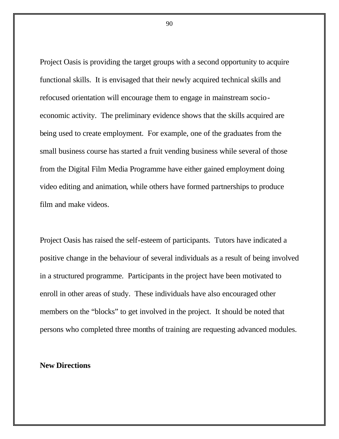Project Oasis is providing the target groups with a second opportunity to acquire functional skills. It is envisaged that their newly acquired technical skills and refocused orientation will encourage them to engage in mainstream socioeconomic activity. The preliminary evidence shows that the skills acquired are being used to create employment. For example, one of the graduates from the small business course has started a fruit vending business while several of those from the Digital Film Media Programme have either gained employment doing video editing and animation, while others have formed partnerships to produce film and make videos.

Project Oasis has raised the self-esteem of participants. Tutors have indicated a positive change in the behaviour of several individuals as a result of being involved in a structured programme. Participants in the project have been motivated to enroll in other areas of study. These individuals have also encouraged other members on the "blocks" to get involved in the project. It should be noted that persons who completed three months of training are requesting advanced modules.

**New Directions**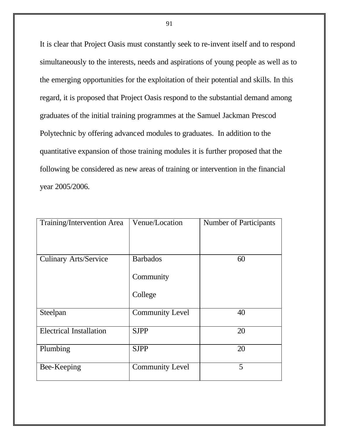It is clear that Project Oasis must constantly seek to re-invent itself and to respond simultaneously to the interests, needs and aspirations of young people as well as to the emerging opportunities for the exploitation of their potential and skills. In this regard, it is proposed that Project Oasis respond to the substantial demand among graduates of the initial training programmes at the Samuel Jackman Prescod Polytechnic by offering advanced modules to graduates. In addition to the quantitative expansion of those training modules it is further proposed that the following be considered as new areas of training or intervention in the financial year 2005/2006.

| Training/Intervention Area     | Venue/Location         | <b>Number of Participants</b> |
|--------------------------------|------------------------|-------------------------------|
|                                |                        |                               |
| <b>Culinary Arts/Service</b>   | <b>Barbados</b>        | 60                            |
|                                | Community              |                               |
|                                | College                |                               |
| Steelpan                       | <b>Community Level</b> | 40                            |
| <b>Electrical Installation</b> | <b>SJPP</b>            | 20                            |
| Plumbing                       | <b>SJPP</b>            | 20                            |
| Bee-Keeping                    | <b>Community Level</b> | 5                             |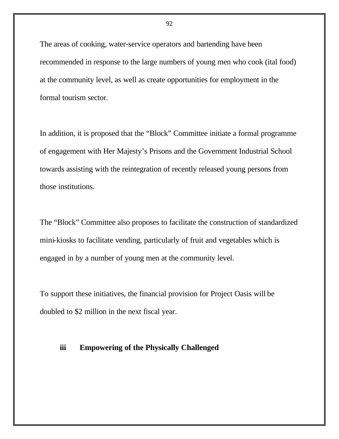The areas of cooking, water-service operators and bartending have been recommended in response to the large numbers of young men who cook (ital food) at the community level, as well as create opportunities for employment in the formal tourism sector.

In addition, it is proposed that the "Block" Committee initiate a formal programme of engagement with Her Majesty's Prisons and the Government Industrial School towards assisting with the reintegration of recently released young persons from those institutions.

The "Block" Committee also proposes to facilitate the construction of standardized mini-kiosks to facilitate vending, particularly of fruit and vegetables which is engaged in by a number of young men at the community level.

To support these initiatives, the financial provision for Project Oasis will be doubled to \$2 million in the next fiscal year.

#### **iii Empowering of the Physically Challenged**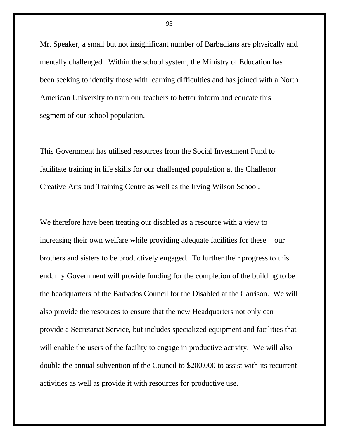Mr. Speaker, a small but not insignificant number of Barbadians are physically and mentally challenged. Within the school system, the Ministry of Education has been seeking to identify those with learning difficulties and has joined with a North American University to train our teachers to better inform and educate this segment of our school population.

This Government has utilised resources from the Social Investment Fund to facilitate training in life skills for our challenged population at the Challenor Creative Arts and Training Centre as well as the Irving Wilson School.

We therefore have been treating our disabled as a resource with a view to increasing their own welfare while providing adequate facilities for these – our brothers and sisters to be productively engaged. To further their progress to this end, my Government will provide funding for the completion of the building to be the headquarters of the Barbados Council for the Disabled at the Garrison. We will also provide the resources to ensure that the new Headquarters not only can provide a Secretariat Service, but includes specialized equipment and facilities that will enable the users of the facility to engage in productive activity. We will also double the annual subvention of the Council to \$200,000 to assist with its recurrent activities as well as provide it with resources for productive use.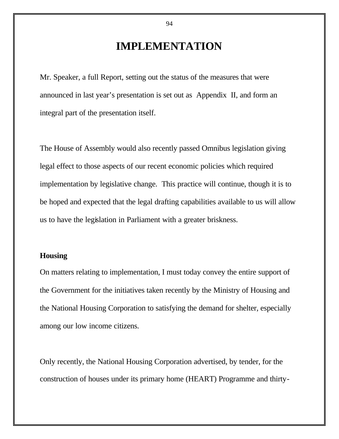# **IMPLEMENTATION**

Mr. Speaker, a full Report, setting out the status of the measures that were announced in last year's presentation is set out as Appendix II, and form an integral part of the presentation itself.

The House of Assembly would also recently passed Omnibus legislation giving legal effect to those aspects of our recent economic policies which required implementation by legislative change. This practice will continue, though it is to be hoped and expected that the legal drafting capabilities available to us will allow us to have the legislation in Parliament with a greater briskness.

### **Housing**

On matters relating to implementation, I must today convey the entire support of the Government for the initiatives taken recently by the Ministry of Housing and the National Housing Corporation to satisfying the demand for shelter, especially among our low income citizens.

Only recently, the National Housing Corporation advertised, by tender, for the construction of houses under its primary home (HEART) Programme and thirty-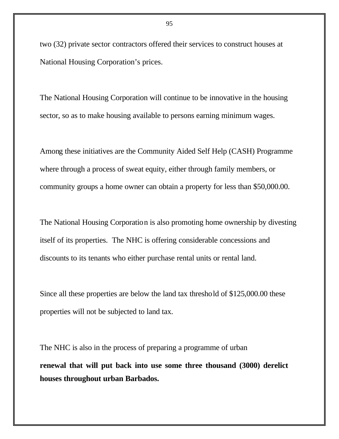two (32) private sector contractors offered their services to construct houses at National Housing Corporation's prices.

The National Housing Corporation will continue to be innovative in the housing sector, so as to make housing available to persons earning minimum wages.

Among these initiatives are the Community Aided Self Help (CASH) Programme where through a process of sweat equity, either through family members, or community groups a home owner can obtain a property for less than \$50,000.00.

The National Housing Corporation is also promoting home ownership by divesting itself of its properties. The NHC is offering considerable concessions and discounts to its tenants who either purchase rental units or rental land.

Since all these properties are below the land tax threshold of \$125,000.00 these properties will not be subjected to land tax.

The NHC is also in the process of preparing a programme of urban **renewal that will put back into use some three thousand (3000) derelict houses throughout urban Barbados.**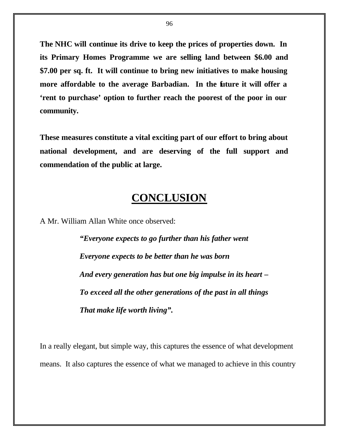**The NHC will continue its drive to keep the prices of properties down. In its Primary Homes Programme we are selling land between \$6.00 and \$7.00 per sq. ft. It will continue to bring new initiatives to make housing more affordable to the average Barbadian. In the future it will offer a 'rent to purchase' option to further reach the poorest of the poor in our community.**

**These measures constitute a vital exciting part of our effort to bring about national development, and are deserving of the full support and commendation of the public at large.**

# **CONCLUSION**

A Mr. William Allan White once observed:

*"Everyone expects to go further than his father went Everyone expects to be better than he was born And every generation has but one big impulse in its heart – To exceed all the other generations of the past in all things That make life worth living".*

In a really elegant, but simple way, this captures the essence of what development means. It also captures the essence of what we managed to achieve in this country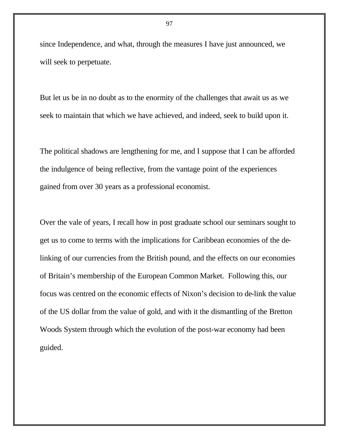since Independence, and what, through the measures I have just announced, we will seek to perpetuate.

But let us be in no doubt as to the enormity of the challenges that await us as we seek to maintain that which we have achieved, and indeed, seek to build upon it.

The political shadows are lengthening for me, and I suppose that I can be afforded the indulgence of being reflective, from the vantage point of the experiences gained from over 30 years as a professional economist.

Over the vale of years, I recall how in post graduate school our seminars sought to get us to come to terms with the implications for Caribbean economies of the delinking of our currencies from the British pound, and the effects on our economies of Britain's membership of the European Common Market. Following this, our focus was centred on the economic effects of Nixon's decision to de-link the value of the US dollar from the value of gold, and with it the dismantling of the Bretton Woods System through which the evolution of the post-war economy had been guided.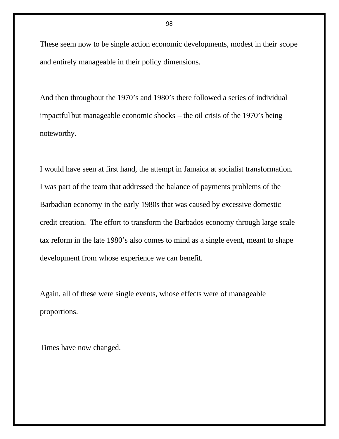These seem now to be single action economic developments, modest in their scope and entirely manageable in their policy dimensions.

And then throughout the 1970's and 1980's there followed a series of individual impactful but manageable economic shocks – the oil crisis of the 1970's being noteworthy.

I would have seen at first hand, the attempt in Jamaica at socialist transformation. I was part of the team that addressed the balance of payments problems of the Barbadian economy in the early 1980s that was caused by excessive domestic credit creation. The effort to transform the Barbados economy through large scale tax reform in the late 1980's also comes to mind as a single event, meant to shape development from whose experience we can benefit.

Again, all of these were single events, whose effects were of manageable proportions.

Times have now changed.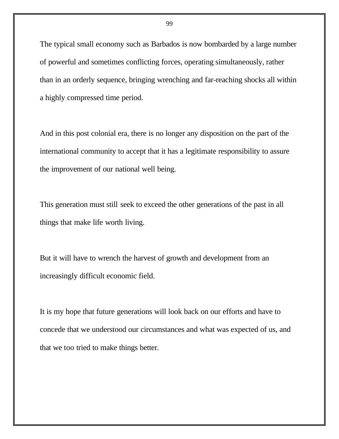The typical small economy such as Barbados is now bombarded by a large number of powerful and sometimes conflicting forces, operating simultaneously, rather than in an orderly sequence, bringing wrenching and far-reaching shocks all within a highly compressed time period.

And in this post colonial era, there is no longer any disposition on the part of the international community to accept that it has a legitimate responsibility to assure the improvement of our national well being.

This generation must still seek to exceed the other generations of the past in all things that make life worth living.

But it will have to wrench the harvest of growth and development from an increasingly difficult economic field.

It is my hope that future generations will look back on our efforts and have to concede that we understood our circumstances and what was expected of us, and that we too tried to make things better.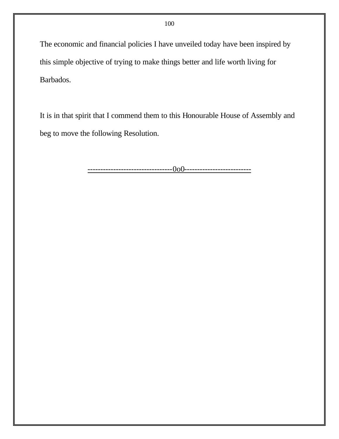The economic and financial policies I have unveiled today have been inspired by this simple objective of trying to make things better and life worth living for Barbados.

It is in that spirit that I commend them to this Honourable House of Assembly and beg to move the following Resolution.

---------------------------------0o0--------------------------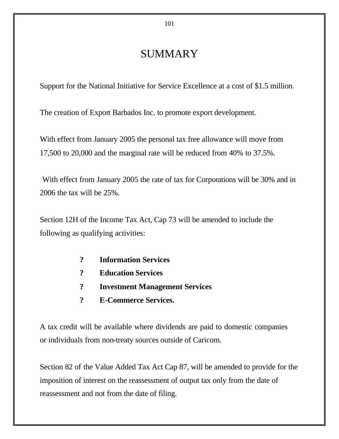# SUMMARY

Support for the National Initiative for Service Excellence at a cost of \$1.5 million.

The creation of Export Barbados Inc. to promote export development.

With effect from January 2005 the personal tax free allowance will move from 17,500 to 20,000 and the marginal rate will be reduced from 40% to 37.5%.

With effect from January 2005 the rate of tax for Corporations will be 30% and in 2006 the tax will be 25%.

Section 12H of the Income Tax Act, Cap 73 will be amended to include the following as qualifying activities:

- **? Information Services**
- **? Education Services**
- **? Investment Management Services**
- **? E-Commerce Services.**

A tax credit will be available where dividends are paid to domestic companies or individuals from non-treaty sources outside of Caricom.

Section 82 of the Value Added Tax Act Cap 87, will be amended to provide for the imposition of interest on the reassessment of output tax only from the date of reassessment and not from the date of filing.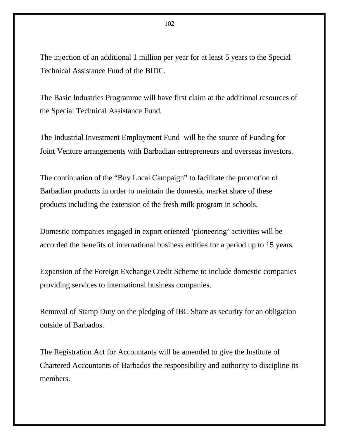The injection of an additional 1 million per year for at least 5 years to the Special Technical Assistance Fund of the BIDC.

The Basic Industries Programme will have first claim at the additional resources of the Special Technical Assistance Fund.

The Industrial Investment Employment Fund will be the source of Funding for Joint Venture arrangements with Barbadian entrepreneurs and overseas investors.

The continuation of the "Buy Local Campaign" to facilitate the promotion of Barbadian products in order to maintain the domestic market share of these products including the extension of the fresh milk program in schools.

Domestic companies engaged in export oriented 'pioneering' activities will be accorded the benefits of international business entities for a period up to 15 years.

Expansion of the Foreign Exchange Credit Scheme to include domestic companies providing services to international business companies.

Removal of Stamp Duty on the pledging of IBC Share as security for an obligation outside of Barbados.

The Registration Act for Accountants will be amended to give the Institute of Chartered Accountants of Barbados the responsibility and authority to discipline its members.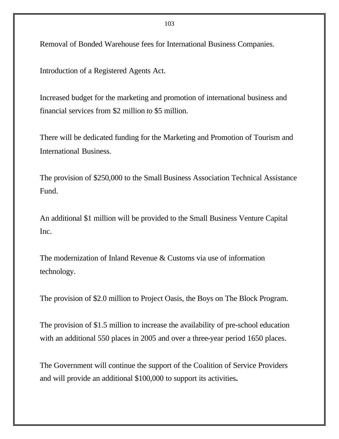Removal of Bonded Warehouse fees for International Business Companies.

Introduction of a Registered Agents Act.

Increased budget for the marketing and promotion of international business and financial services from \$2 million *to* \$5 million.

There will be dedicated funding for the Marketing and Promotion of Tourism and International Business.

The provision of \$250,000 to the Small Business Association Technical Assistance Fund.

An additional \$1 million will be provided to the Small Business Venture Capital Inc.

The modernization of Inland Revenue & Customs via use of information technology.

The provision of \$2.0 million to Project Oasis, the Boys on The Block Program.

The provision of \$1.5 million to increase the availability of pre-school education with an additional 550 places in 2005 and over a three-year period 1650 places.

The Government will continue the support of the Coalition of Service Providers and will provide an additional \$100,000 to support its activities*.*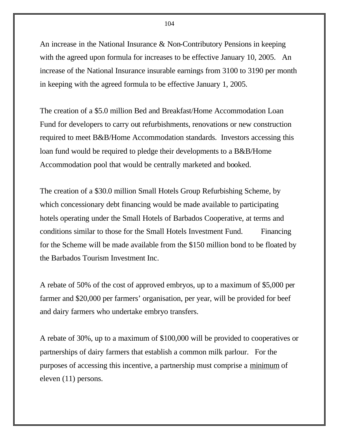An increase in the National Insurance & Non-Contributory Pensions in keeping with the agreed upon formula for increases to be effective January 10, 2005. An increase of the National Insurance insurable earnings from 3100 to 3190 per month in keeping with the agreed formula to be effective January 1, 2005.

The creation of a \$5.0 million Bed and Breakfast/Home Accommodation Loan Fund for developers to carry out refurbishments, renovations or new construction required to meet B&B/Home Accommodation standards. Investors accessing this loan fund would be required to pledge their developments to a B&B/Home Accommodation pool that would be centrally marketed and booked.

The creation of a \$30.0 million Small Hotels Group Refurbishing Scheme, by which concessionary debt financing would be made available to participating hotels operating under the Small Hotels of Barbados Cooperative, at terms and conditions similar to those for the Small Hotels Investment Fund. Financing for the Scheme will be made available from the \$150 million bond to be floated by the Barbados Tourism Investment Inc.

A rebate of 50% of the cost of approved embryos, up to a maximum of \$5,000 per farmer and \$20,000 per farmers' organisation, per year, will be provided for beef and dairy farmers who undertake embryo transfers.

A rebate of 30%, up to a maximum of \$100,000 will be provided to cooperatives or partnerships of dairy farmers that establish a common milk parlour. For the purposes of accessing this incentive, a partnership must comprise a minimum of eleven (11) persons.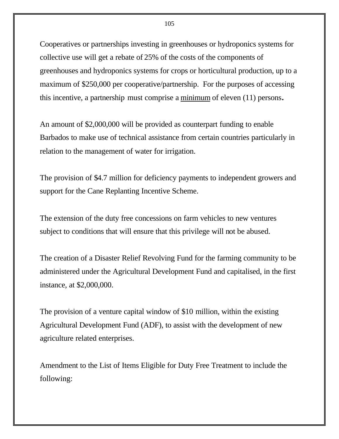Cooperatives or partnerships investing in greenhouses or hydroponics systems for collective use will get a rebate of 25% of the costs of the components of greenhouses and hydroponics systems for crops or horticultural production, up to a maximum of \$250,000 per cooperative/partnership. For the purposes of accessing this incentive, a partnership must comprise a minimum of eleven (11) persons**.**

An amount of \$2,000,000 will be provided as counterpart funding to enable Barbados to make use of technical assistance from certain countries particularly in relation to the management of water for irrigation.

The provision of \$4.7 million for deficiency payments to independent growers and support for the Cane Replanting Incentive Scheme.

The extension of the duty free concessions on farm vehicles to new ventures subject to conditions that will ensure that this privilege will not be abused.

The creation of a Disaster Relief Revolving Fund for the farming community to be administered under the Agricultural Development Fund and capitalised, in the first instance, at \$2,000,000.

The provision of a venture capital window of \$10 million, within the existing Agricultural Development Fund (ADF), to assist with the development of new agriculture related enterprises.

Amendment to the List of Items Eligible for Duty Free Treatment to include the following: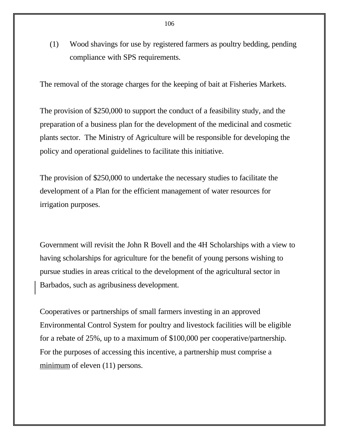(1) Wood shavings for use by registered farmers as poultry bedding, pending compliance with SPS requirements.

The removal of the storage charges for the keeping of bait at Fisheries Markets.

The provision of \$250,000 to support the conduct of a feasibility study, and the preparation of a business plan for the development of the medicinal and cosmetic plants sector. The Ministry of Agriculture will be responsible for developing the policy and operational guidelines to facilitate this initiative.

The provision of \$250,000 to undertake the necessary studies to facilitate the development of a Plan for the efficient management of water resources for irrigation purposes.

Government will revisit the John R Bovell and the 4H Scholarships with a view to having scholarships for agriculture for the benefit of young persons wishing to pursue studies in areas critical to the development of the agricultural sector in Barbados, such as agribusiness development.

Cooperatives or partnerships of small farmers investing in an approved Environmental Control System for poultry and livestock facilities will be eligible for a rebate of 25%, up to a maximum of \$100,000 per cooperative/partnership. For the purposes of accessing this incentive, a partnership must comprise a minimum of eleven  $(11)$  persons.